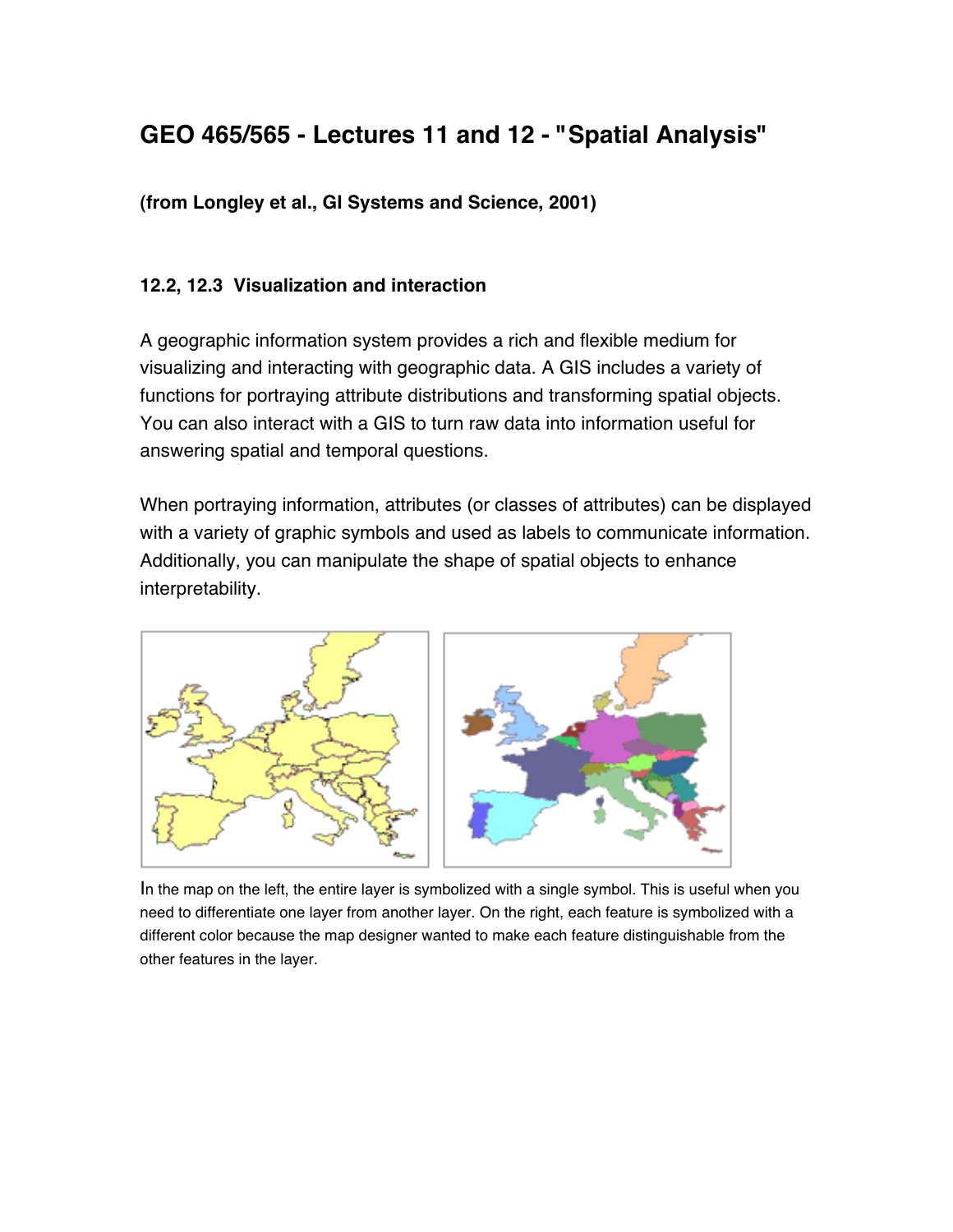# **GEO 465/565 - Lectures 11 and 12 - "Spatial Analysis"**

**(from Longley et al.,** *GI Systems and Science***, 2001)**

# **12.2, 12.3 Visualization and interaction**

A geographic information system provides a rich and flexible medium for visualizing and interacting with geographic data. A GIS includes a variety of functions for portraying attribute distributions and transforming spatial objects. You can also interact with a GIS to turn raw data into information useful for answering spatial and temporal questions.

When portraying information, attributes (or classes of attributes) can be displayed with a variety of graphic symbols and used as labels to communicate information. Additionally, you can manipulate the shape of spatial objects to enhance interpretability.



In the map on the left, the entire layer is symbolized with a single symbol. This is useful when you need to differentiate one layer from another layer. On the right, each feature is symbolized with a different color because the map designer wanted to make each feature distinguishable from the other features in the layer.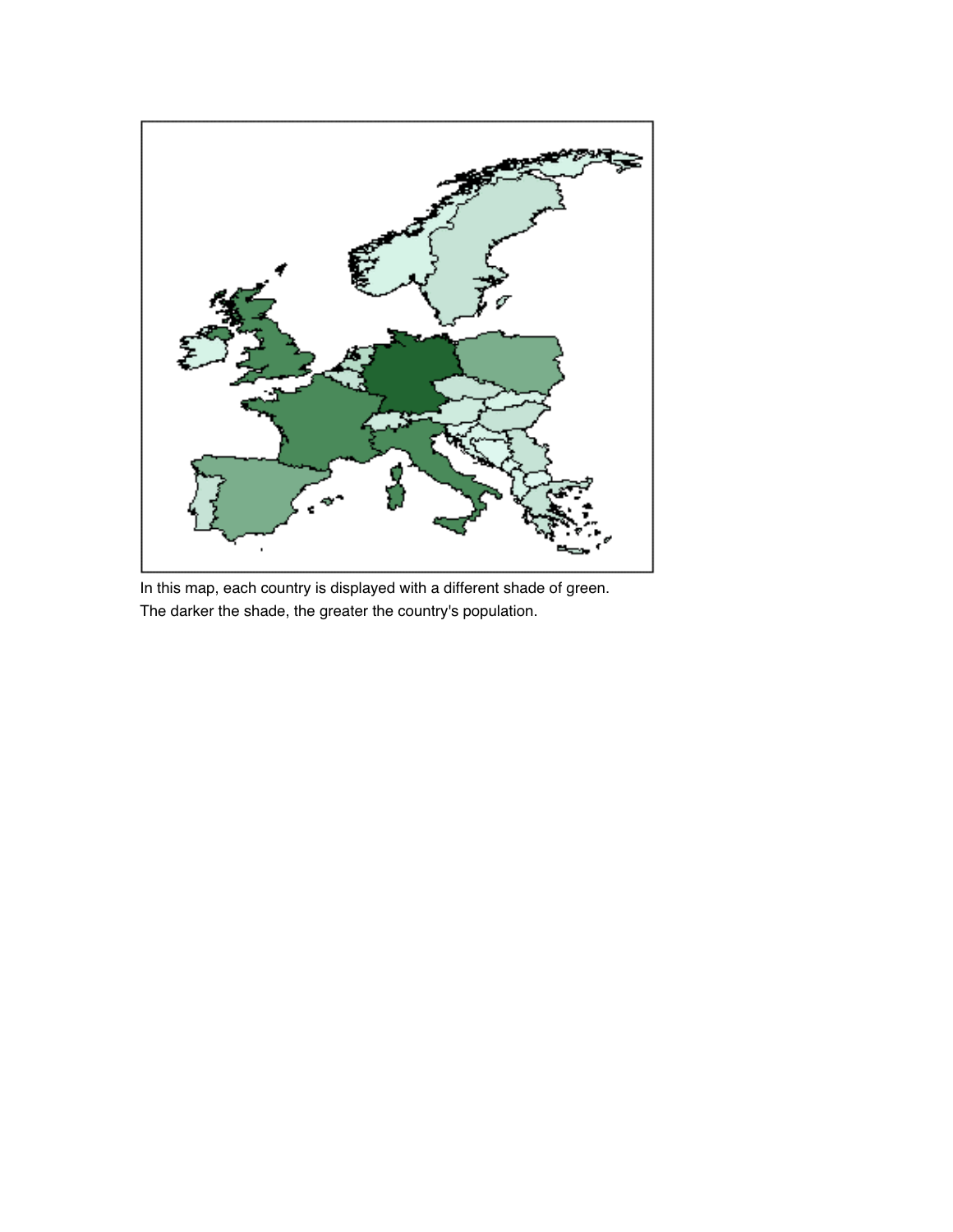

In this map, each country is displayed with a different shade of green. The darker the shade, the greater the country's population.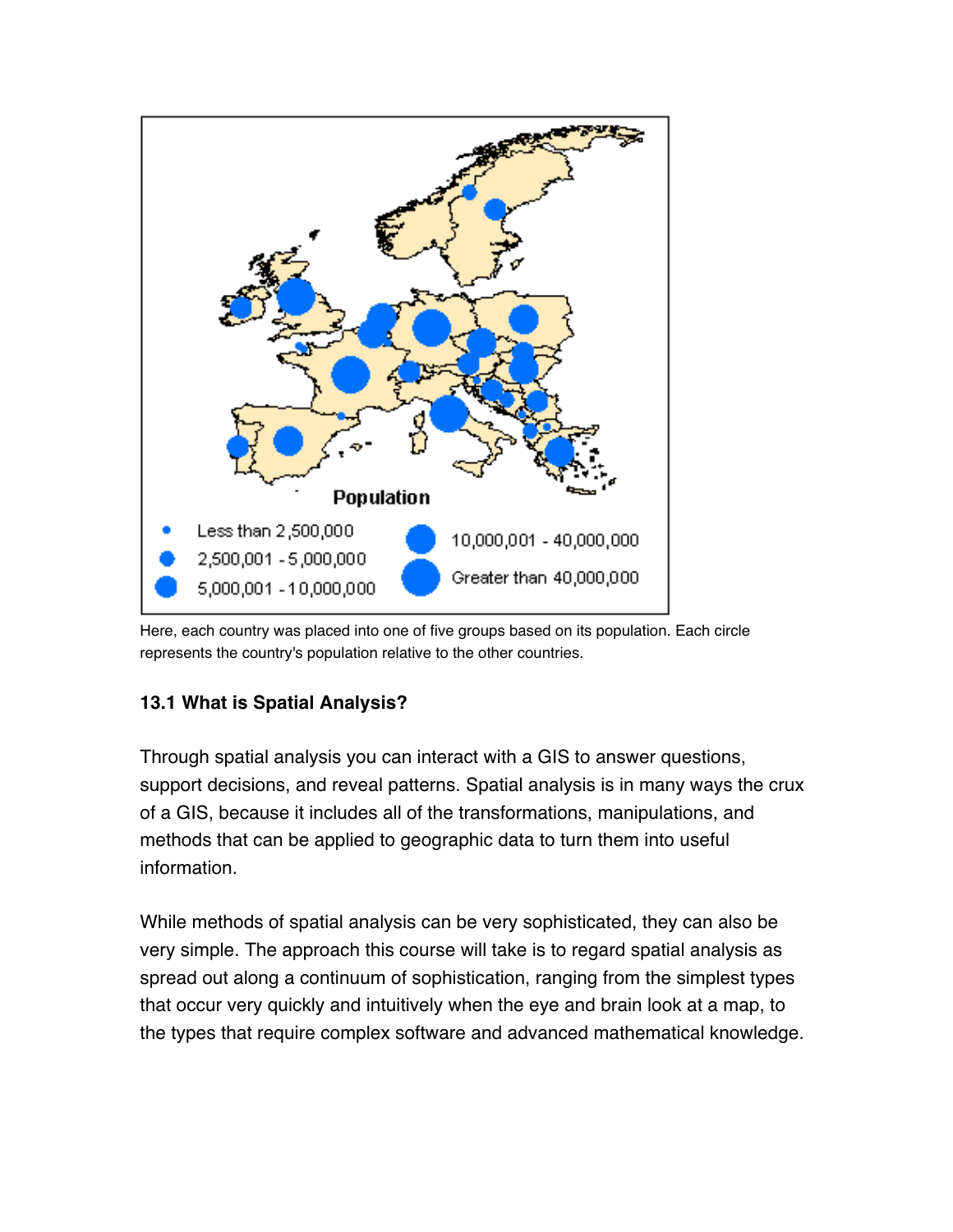

Here, each country was placed into one of five groups based on its population. Each circle represents the country's population relative to the other countries.

# **13.1 What is Spatial Analysis?**

Through spatial analysis you can interact with a GIS to answer questions, support decisions, and reveal patterns. Spatial analysis is in many ways the crux of a GIS, because it includes all of the transformations, manipulations, and methods that can be applied to geographic data to turn them into useful information.

While methods of spatial analysis can be very sophisticated, they can also be very simple. The approach this course will take is to regard spatial analysis as spread out along a continuum of sophistication, ranging from the simplest types that occur very quickly and intuitively when the eye and brain look at a map, to the types that require complex software and advanced mathematical knowledge.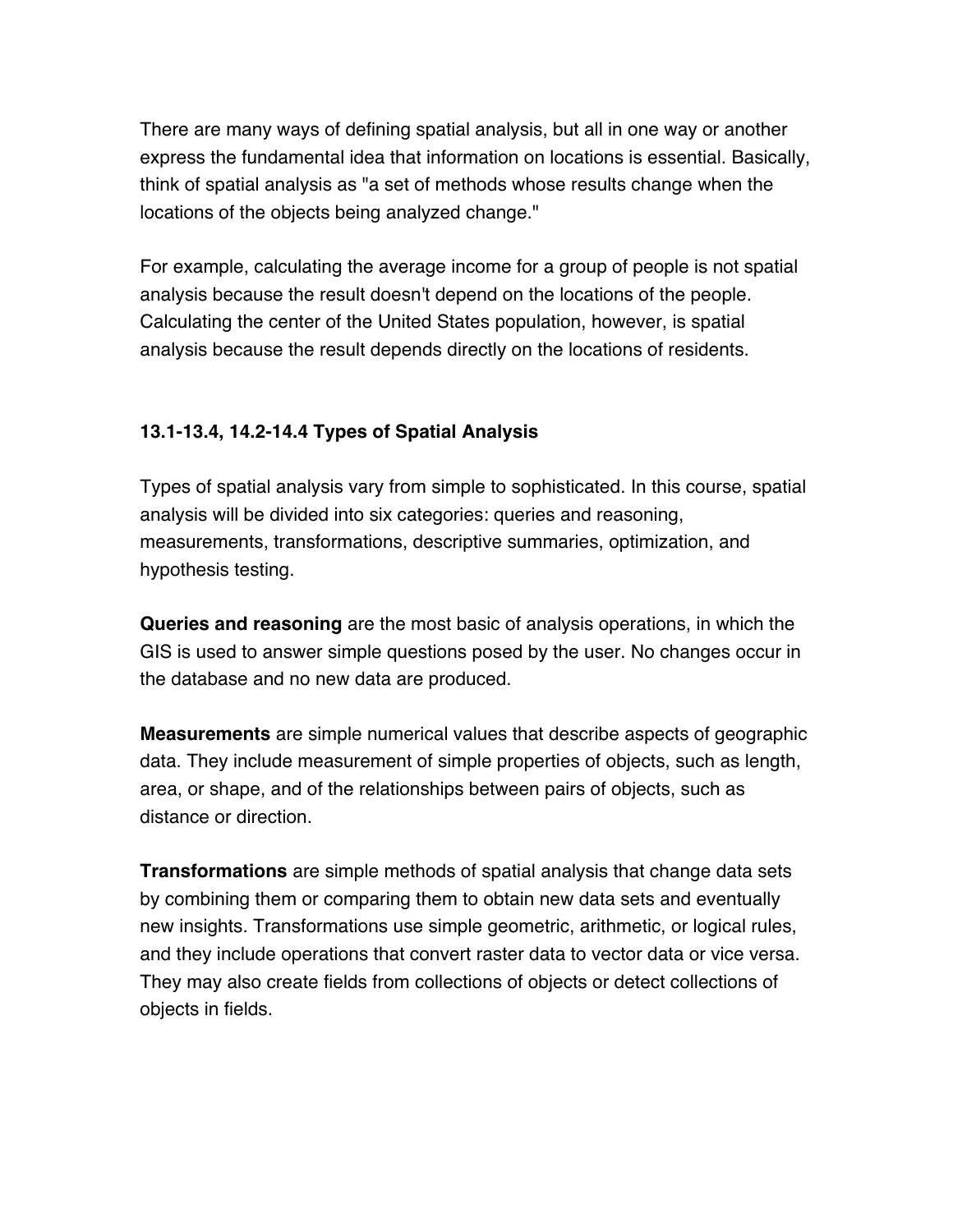There are many ways of defining spatial analysis, but all in one way or another express the fundamental idea that information on locations is essential. Basically, think of spatial analysis as "a set of methods whose results change when the locations of the objects being analyzed change."

For example, calculating the average income for a group of people is not spatial analysis because the result doesn't depend on the locations of the people. Calculating the center of the United States population, however, is spatial analysis because the result depends directly on the locations of residents.

## **13.1-13.4, 14.2-14.4 Types of Spatial Analysis**

Types of spatial analysis vary from simple to sophisticated. In this course, spatial analysis will be divided into six categories: queries and reasoning, measurements, transformations, descriptive summaries, optimization, and hypothesis testing.

*Queries and reasoning* are the most basic of analysis operations, in which the GIS is used to answer simple questions posed by the user. No changes occur in the database and no new data are produced.

*Measurements* are simple numerical values that describe aspects of geographic data. They include measurement of simple properties of objects, such as length, area, or shape, and of the relationships between pairs of objects, such as distance or direction.

*Transformations* are simple methods of spatial analysis that change data sets by combining them or comparing them to obtain new data sets and eventually new insights. Transformations use simple geometric, arithmetic, or logical rules, and they include operations that convert raster data to vector data or vice versa. They may also create fields from collections of objects or detect collections of objects in fields.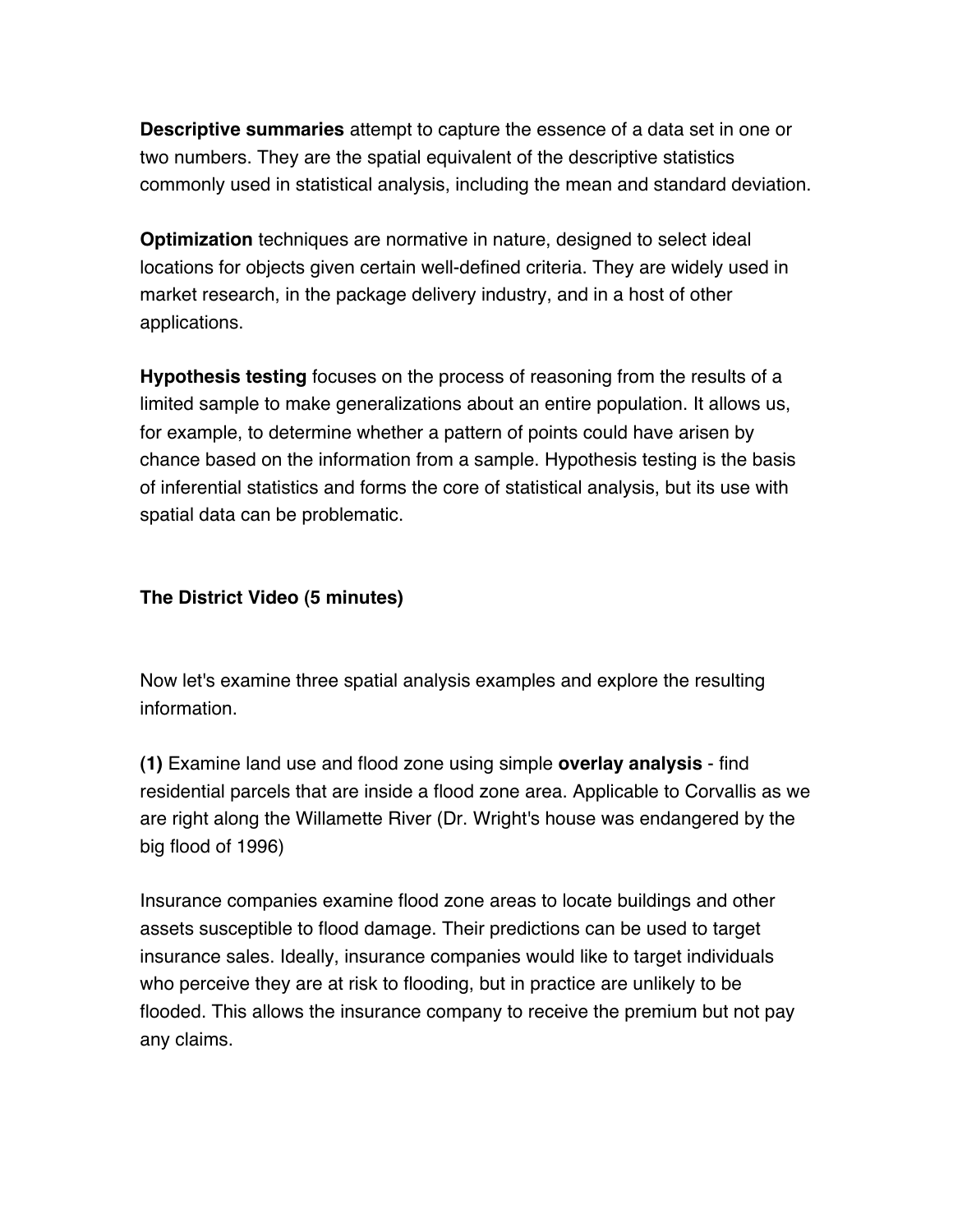*Descriptive summaries* attempt to capture the essence of a data set in one or two numbers. They are the spatial equivalent of the descriptive statistics commonly used in statistical analysis, including the mean and standard deviation.

*Optimization* techniques are normative in nature, designed to select ideal locations for objects given certain well-defined criteria. They are widely used in market research, in the package delivery industry, and in a host of other applications.

*Hypothesis testing* focuses on the process of reasoning from the results of a limited sample to make generalizations about an entire population. It allows us, for example, to determine whether a pattern of points could have arisen by chance based on the information from a sample. Hypothesis testing is the basis of inferential statistics and forms the core of statistical analysis, but its use with spatial data can be problematic.

## *The District* **Video (5 minutes)**

Now let's examine three spatial analysis examples and explore the resulting information.

**(1)** Examine land use and flood zone using simple **overlay analysis** - find residential parcels that are inside a flood zone area. Applicable to Corvallis as we are right along the Willamette River (Dr. Wright's house was endangered by the big flood of 1996)

Insurance companies examine flood zone areas to locate buildings and other assets susceptible to flood damage. Their predictions can be used to target insurance sales. Ideally, insurance companies would like to target individuals who perceive they are at risk to flooding, but in practice are unlikely to be flooded. This allows the insurance company to receive the premium but not pay any claims.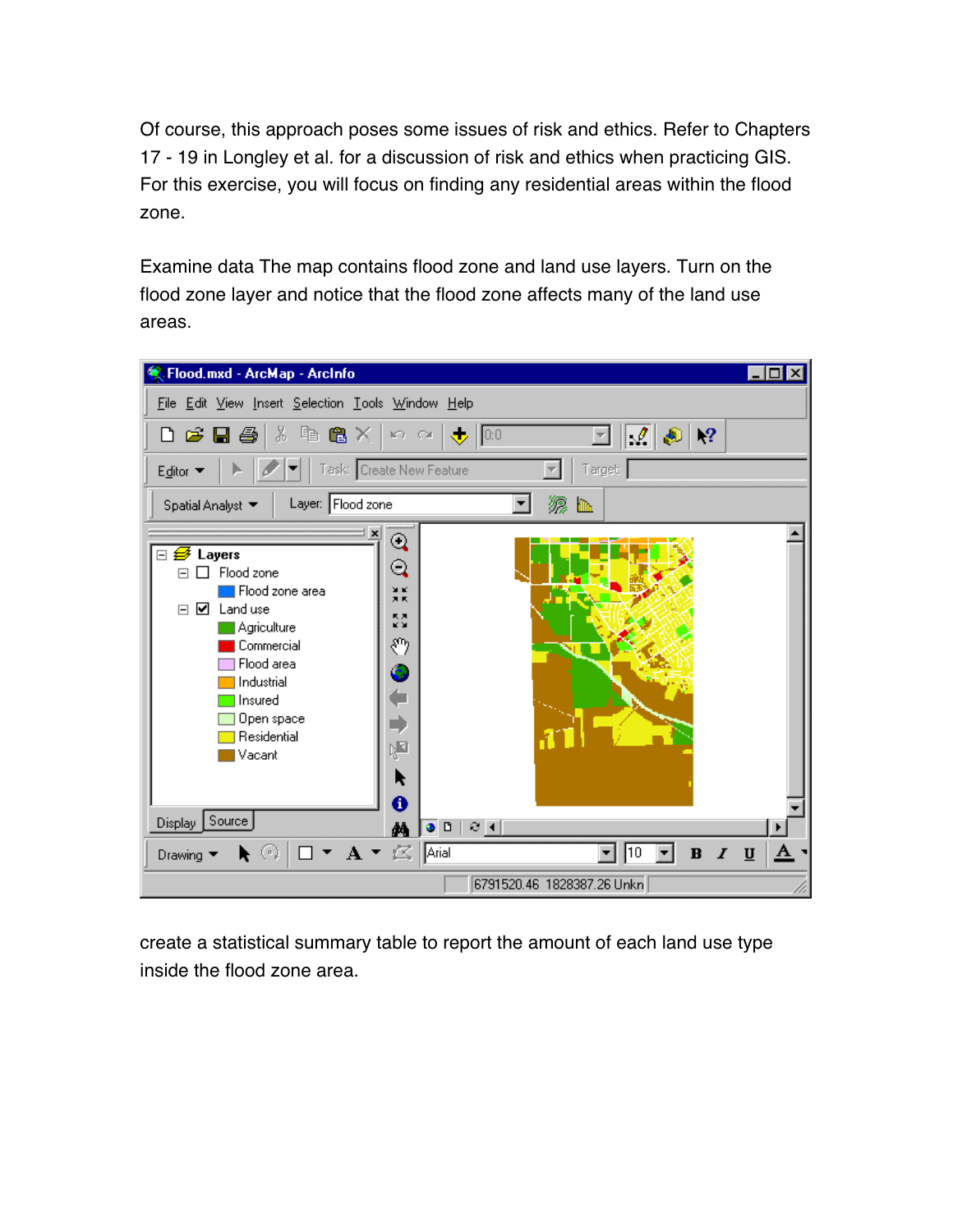Of course, this approach poses some issues of risk and ethics. Refer to Chapters 17 - 19 in Longley et al. for a discussion of risk and ethics when practicing GIS. For this exercise, you will focus on finding any residential areas within the flood zone.

Examine data The map contains flood zone and land use layers. Turn on the flood zone layer and notice that the flood zone affects many of the land use areas.



create a statistical summary table to report the amount of each land use type inside the flood zone area.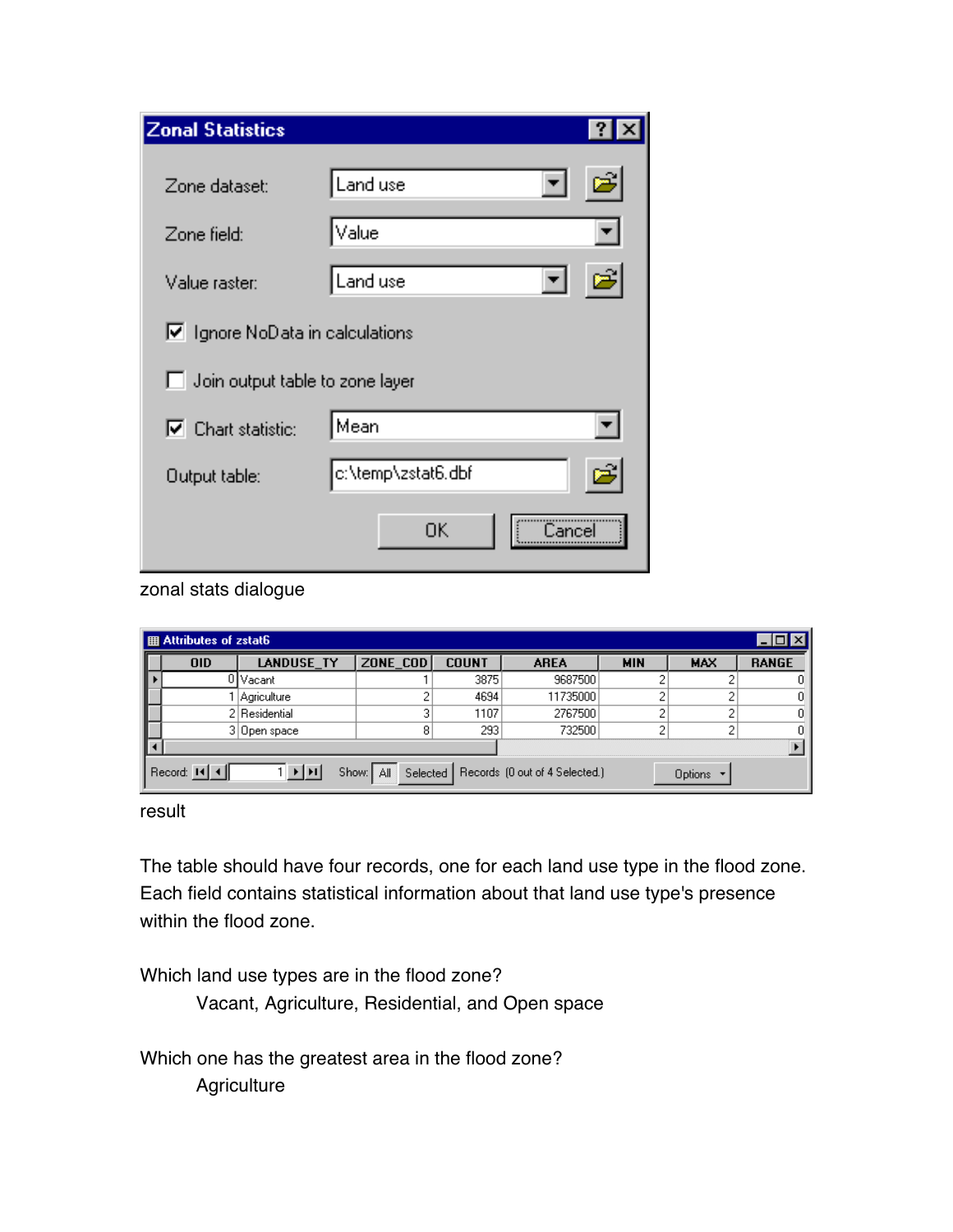| <b>Zonal Statistics</b>                |                    |                      | ?  |
|----------------------------------------|--------------------|----------------------|----|
| Zone dataset:                          | Land use           |                      | É  |
| Zone field:                            | Value              |                      |    |
| Value raster:                          | Land use           | $\blacktriangledown$ | e1 |
| $\nabla$ Ignore NoData in calculations |                    |                      |    |
| Join output table to zone layer        |                    |                      |    |
| $\nabla$ Chart statistic:              | Mean               |                      |    |
| Output table:                          | c:\temp\zstat6.dbf |                      |    |
|                                        | OΚ                 | <br>Cance            |    |

zonal stats dialogue

| ▌ 用 Attributes of zstat6 |                                                                                                  |               |          |              | $\Box$ $\Box$ $\times$ |            |            |              |
|--------------------------|--------------------------------------------------------------------------------------------------|---------------|----------|--------------|------------------------|------------|------------|--------------|
|                          | <b>OID</b>                                                                                       | LANDUSE_TY    | ZONE COD | <b>COUNT</b> | <b>AREA</b>            | <b>MIN</b> | <b>MAX</b> | <b>RANGE</b> |
|                          |                                                                                                  | 0   Vacant    |          | 3875         | 9687500                |            |            |              |
|                          |                                                                                                  | Agriculture   |          | 4694         | 11735000               |            |            |              |
|                          |                                                                                                  | 2 Residential |          | 1107         | 2767500                | o          |            | n.           |
|                          |                                                                                                  | 3 Open space  | 8        | 293          | 732500                 | o.         | o          |              |
|                          |                                                                                                  |               |          |              |                        |            |            |              |
|                          | Record: 14 4.<br>Show: All Selected   Records (0 out of 4 Selected.)<br>▸ ╟┝┠<br>Options $\star$ |               |          |              |                        |            |            |              |

result

The table should have four records, one for each land use type in the flood zone. Each field contains statistical information about that land use type's presence within the flood zone.

Which land use types are in the flood zone?

Vacant, Agriculture, Residential, and Open space

Which one has the greatest area in the flood zone? **Agriculture**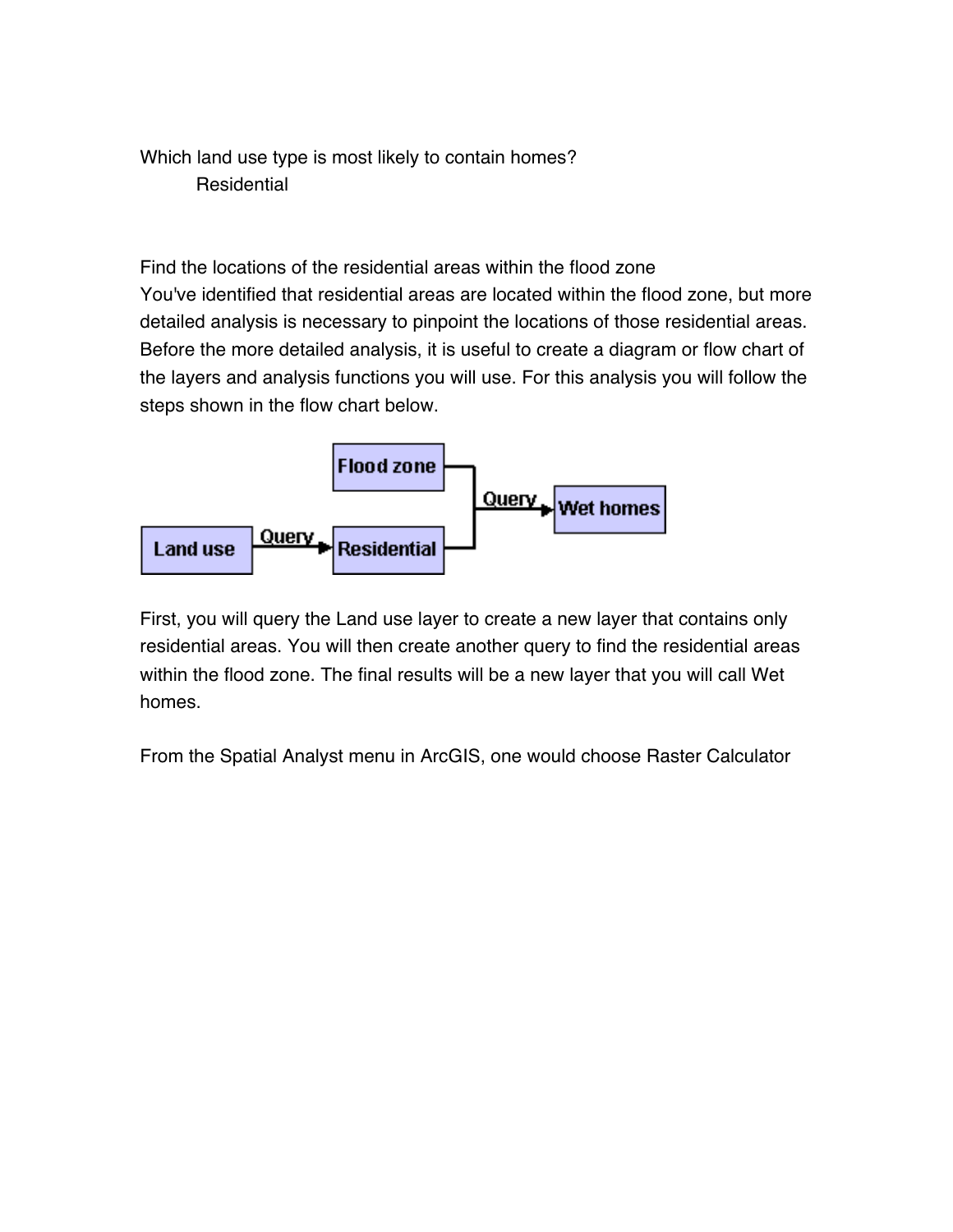Which land use type is most likely to contain homes? **Residential** 

Find the locations of the residential areas within the flood zone You've identified that residential areas are located within the flood zone, but more detailed analysis is necessary to pinpoint the locations of those residential areas. Before the more detailed analysis, it is useful to create a diagram or flow chart of the layers and analysis functions you will use. For this analysis you will follow the steps shown in the flow chart below.



First, you will query the Land use layer to create a new layer that contains only residential areas. You will then create another query to find the residential areas within the flood zone. The final results will be a new layer that you will call Wet homes.

From the Spatial Analyst menu in ArcGIS, one would choose Raster Calculator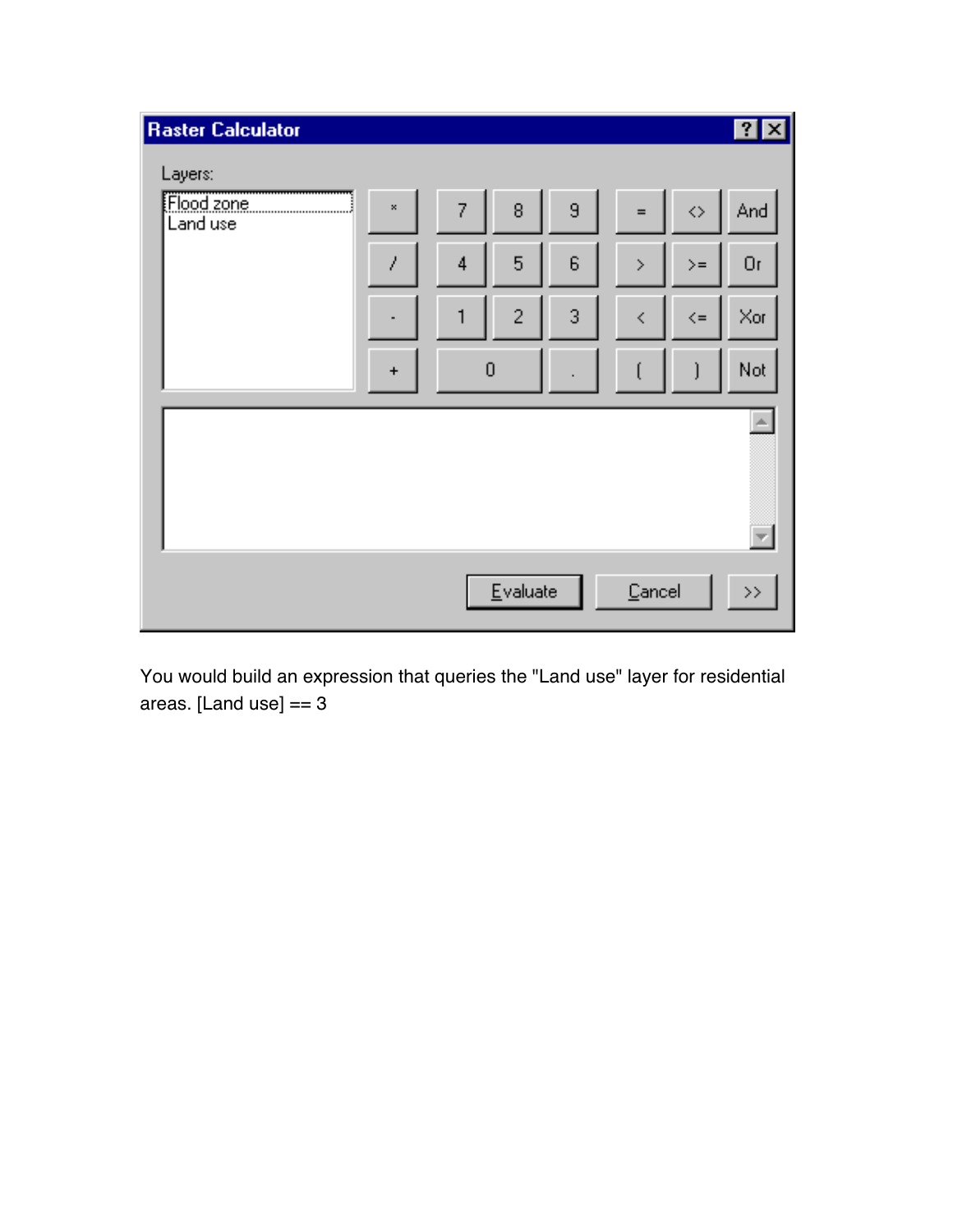

You would build an expression that queries the "Land use" layer for residential areas. [Land use] == 3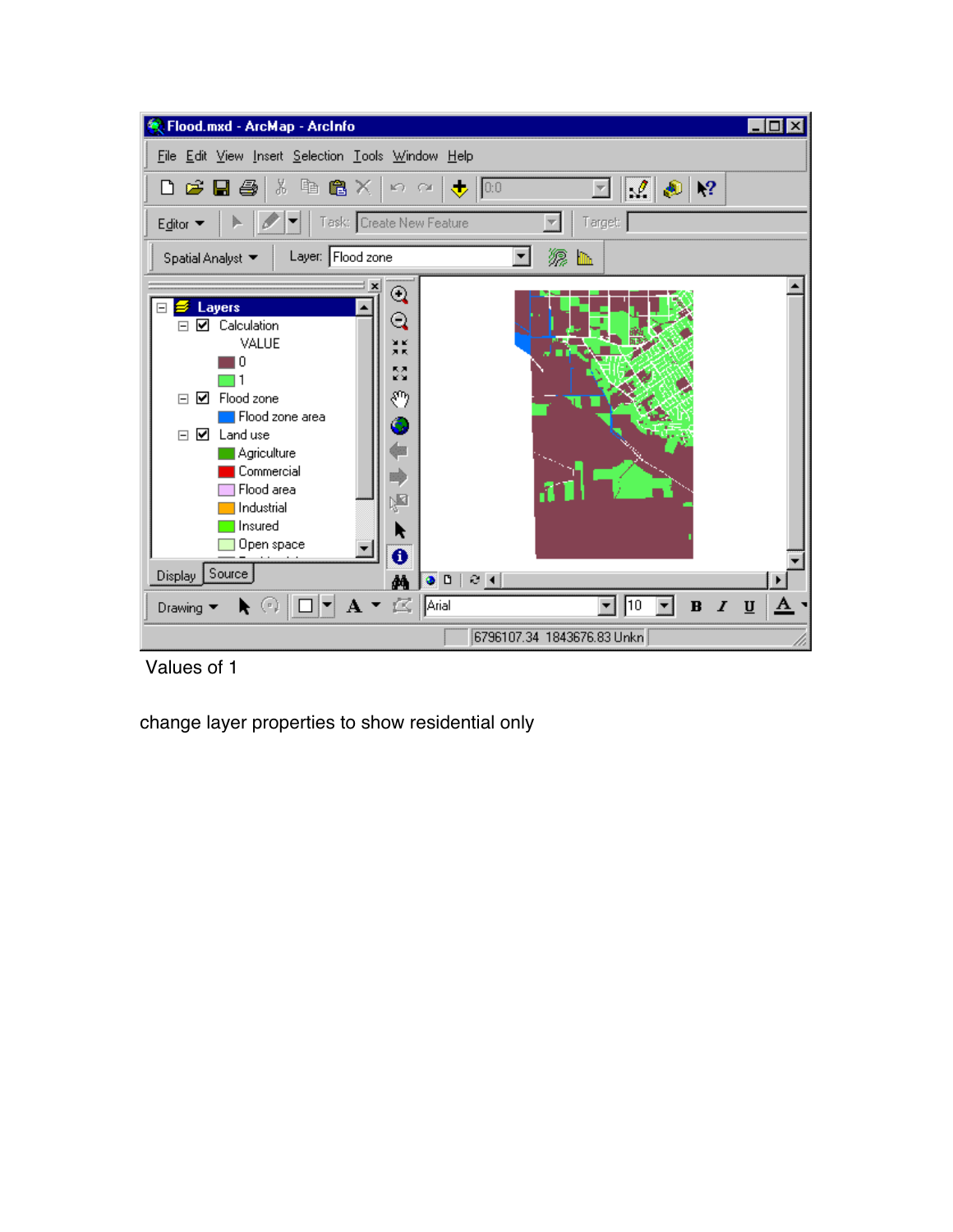

Values of 1

change layer properties to show residential only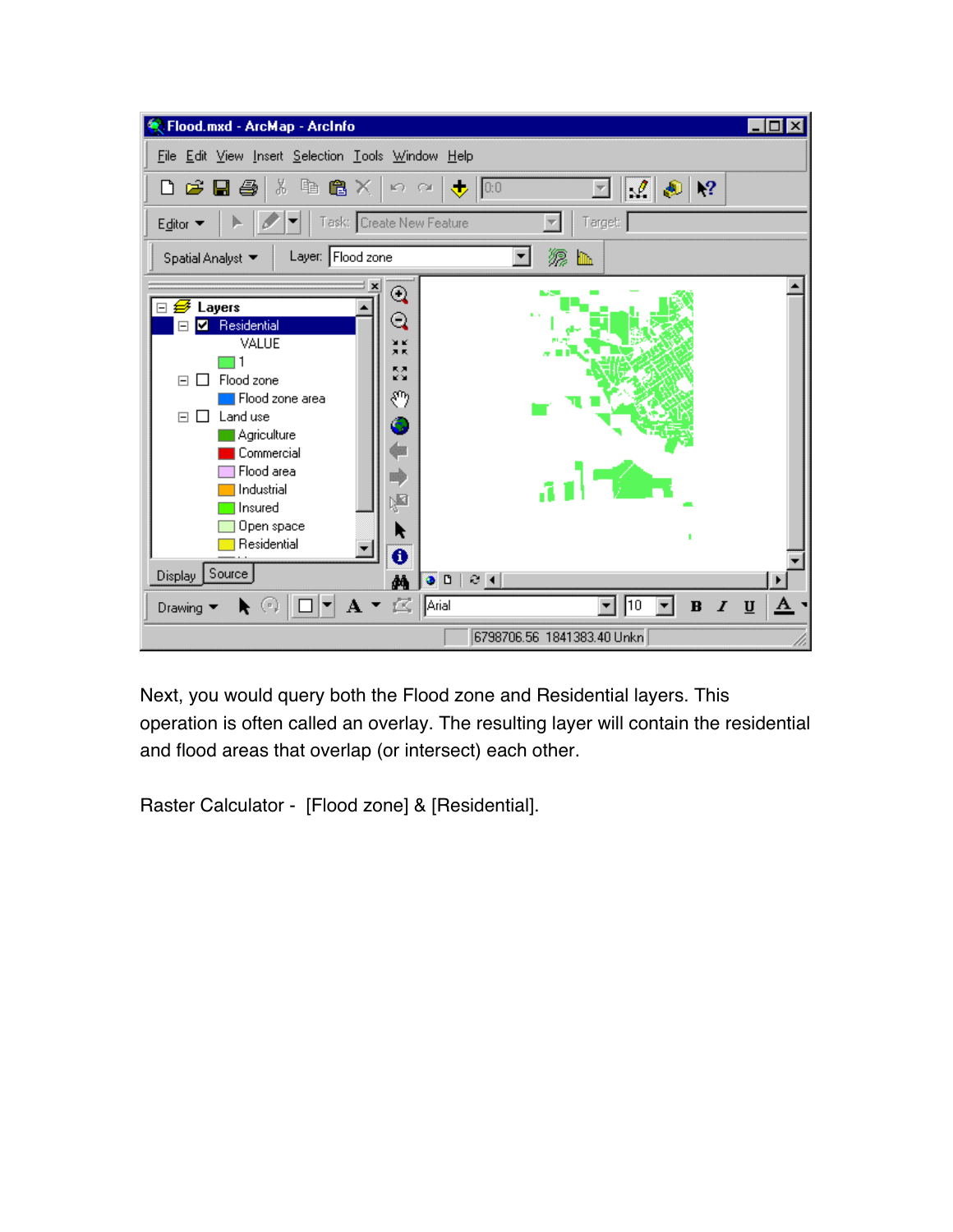

Next, you would query both the Flood zone and Residential layers. This operation is often called an overlay. The resulting layer will contain the residential and flood areas that overlap (or intersect) each other.

Raster Calculator - [Flood zone] & [Residential].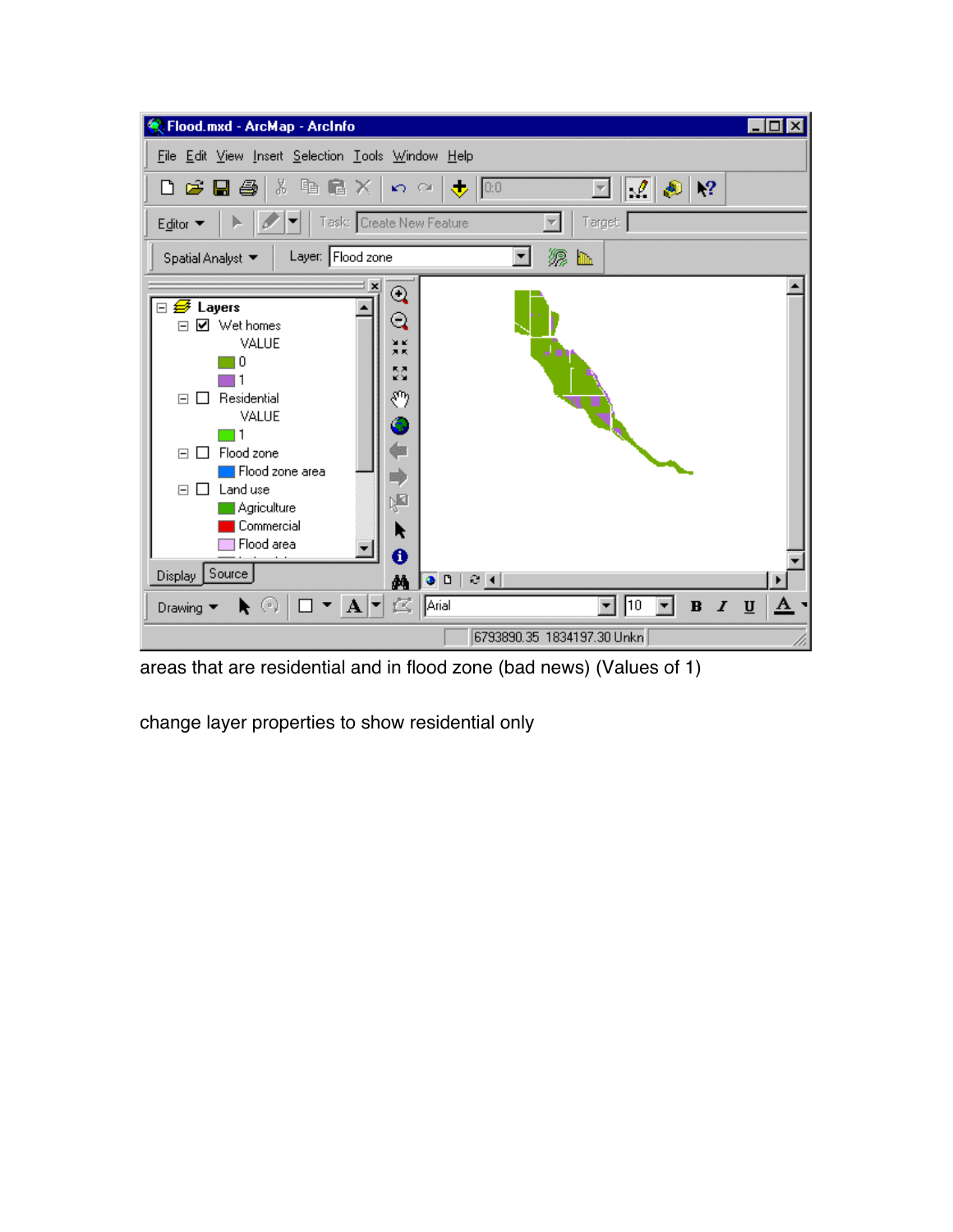

areas that are residential and in flood zone (bad news) (Values of 1)

change layer properties to show residential only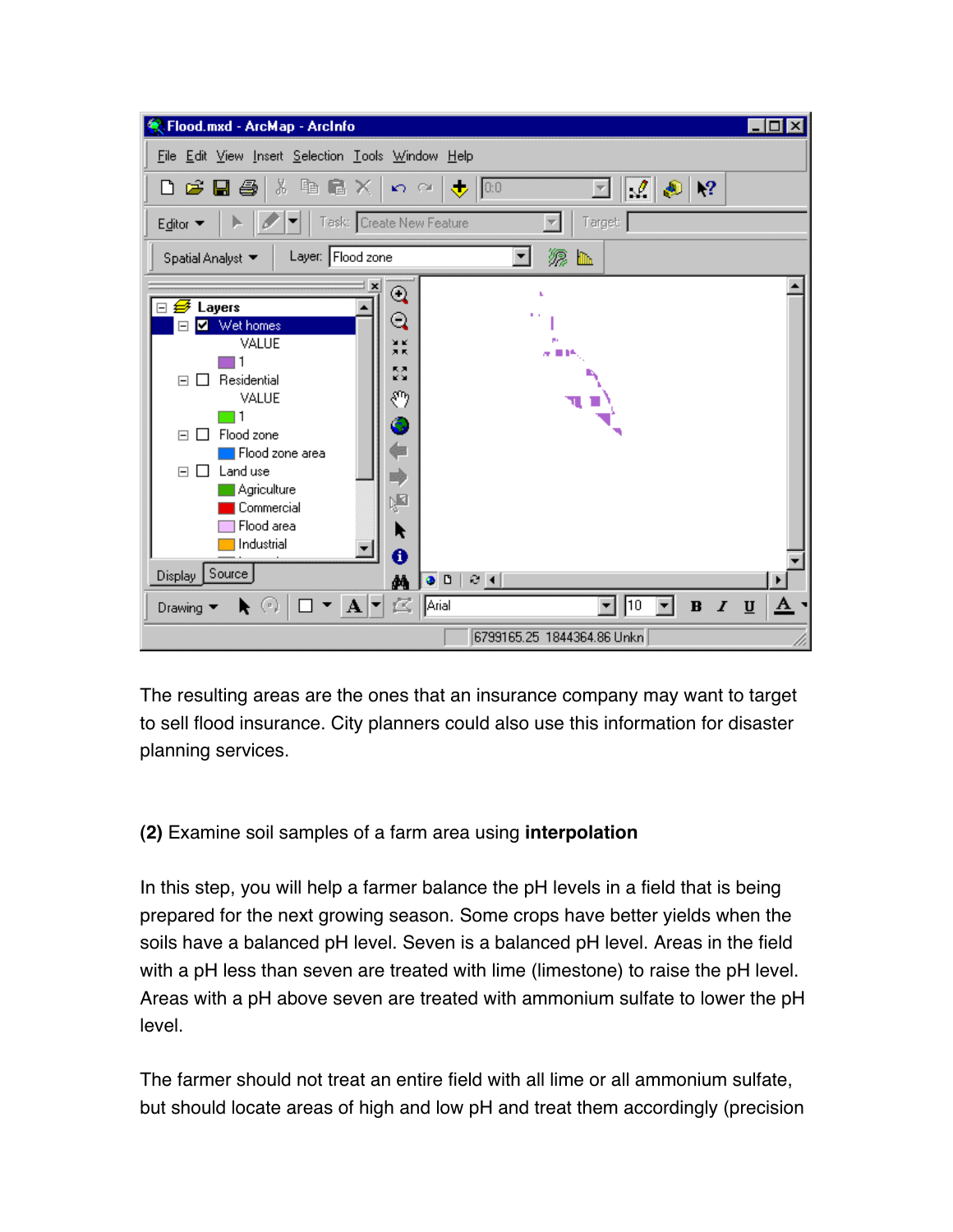

The resulting areas are the ones that an insurance company may want to target to sell flood insurance. City planners could also use this information for disaster planning services.

# **(2)** Examine soil samples of a farm area using **interpolation**

In this step, you will help a farmer balance the pH levels in a field that is being prepared for the next growing season. Some crops have better yields when the soils have a balanced pH level. Seven is a balanced pH level. Areas in the field with a pH less than seven are treated with lime (limestone) to raise the pH level. Areas with a pH above seven are treated with ammonium sulfate to lower the pH level.

The farmer should not treat an entire field with all lime or all ammonium sulfate, but should locate areas of high and low pH and treat them accordingly (precision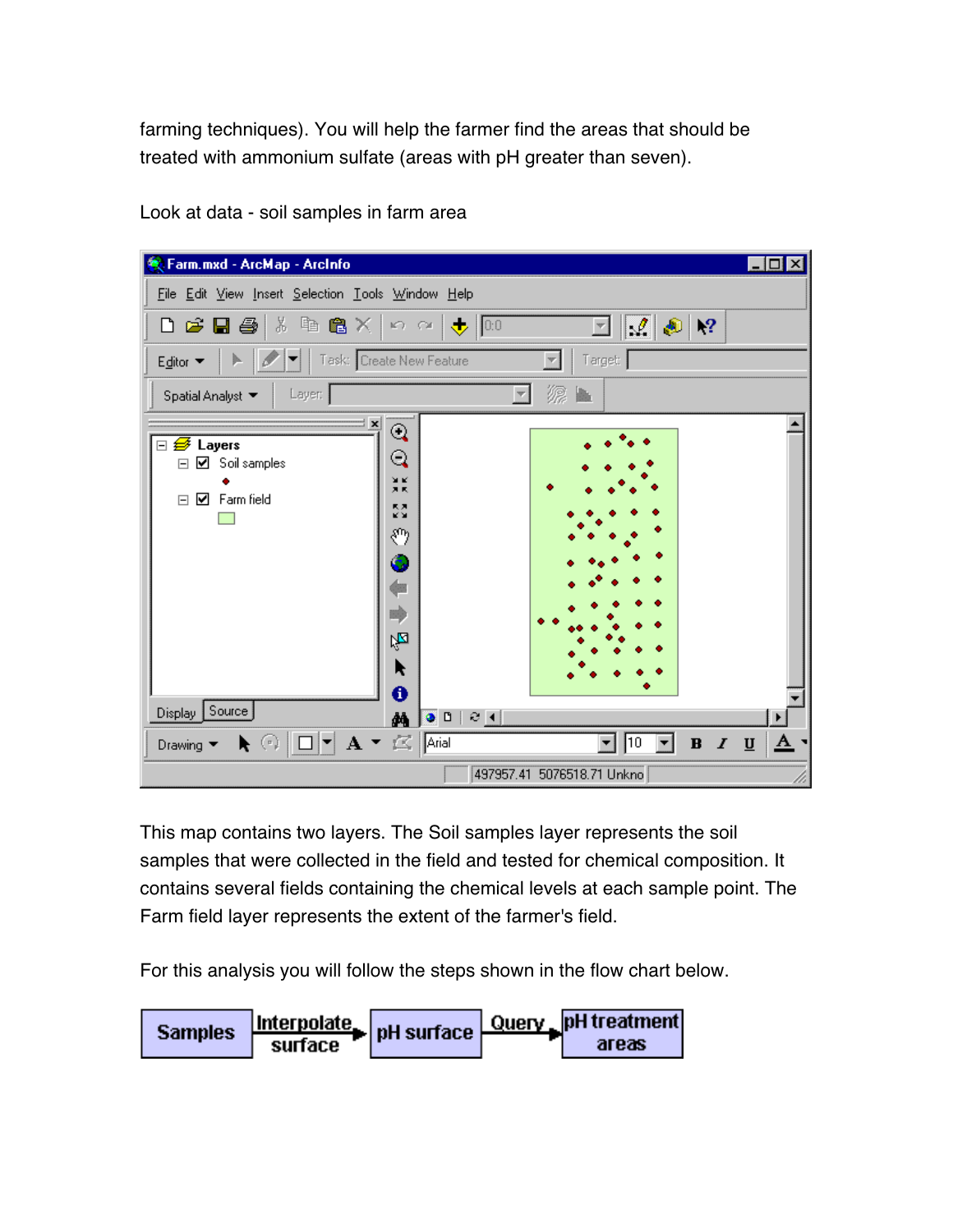farming techniques). You will help the farmer find the areas that should be treated with ammonium sulfate (areas with pH greater than seven).

| <b>K</b> Farm.mxd - ArcMap - ArcInfo                                                                                                                                  | $\Box$ o $\Box$                                                                    |          |
|-----------------------------------------------------------------------------------------------------------------------------------------------------------------------|------------------------------------------------------------------------------------|----------|
| File Edit View Insert Selection Tools Window Help                                                                                                                     |                                                                                    |          |
| Defere   * 电离义                                                                                                                                                        | $\mathcal{Q} \otimes R$<br>$\mathbb{R}$ $\alpha$ $\mathbb{R}$ 0.0<br>$\mathcal{F}$ |          |
| Task: Create New Feature<br>Editor ▼                                                                                                                                  | Target:                                                                            |          |
| Layer:<br>Spatial Analyst ▼                                                                                                                                           | m.                                                                                 |          |
| ∃ ×<br>Q<br>⊟ <del>Ø</del> Layers<br>Q<br>☑ Soil samples<br>Ξ<br>N K<br>X K<br><b>☑</b> Farm field<br>$\Box$<br>중<br>ల్కొ<br>ó<br>a)<br>咆<br>R<br>➊<br>Display Source |                                                                                    |          |
| М                                                                                                                                                                     | 00021                                                                              |          |
| $\blacktriangleright$ $\binom{n}{r}$<br>Drawing $\blacktriangledown$                                                                                                  | $\parallel$ 10<br>$B$ $I$ $\underline{U}$<br>▾∣                                    | <u>A</u> |
|                                                                                                                                                                       | 497957.41 5076518.71 Unkno                                                         |          |

Look at data - soil samples in farm area

This map contains two layers. The Soil samples layer represents the soil samples that were collected in the field and tested for chemical composition. It contains several fields containing the chemical levels at each sample point. The Farm field layer represents the extent of the farmer's field.

For this analysis you will follow the steps shown in the flow chart below.

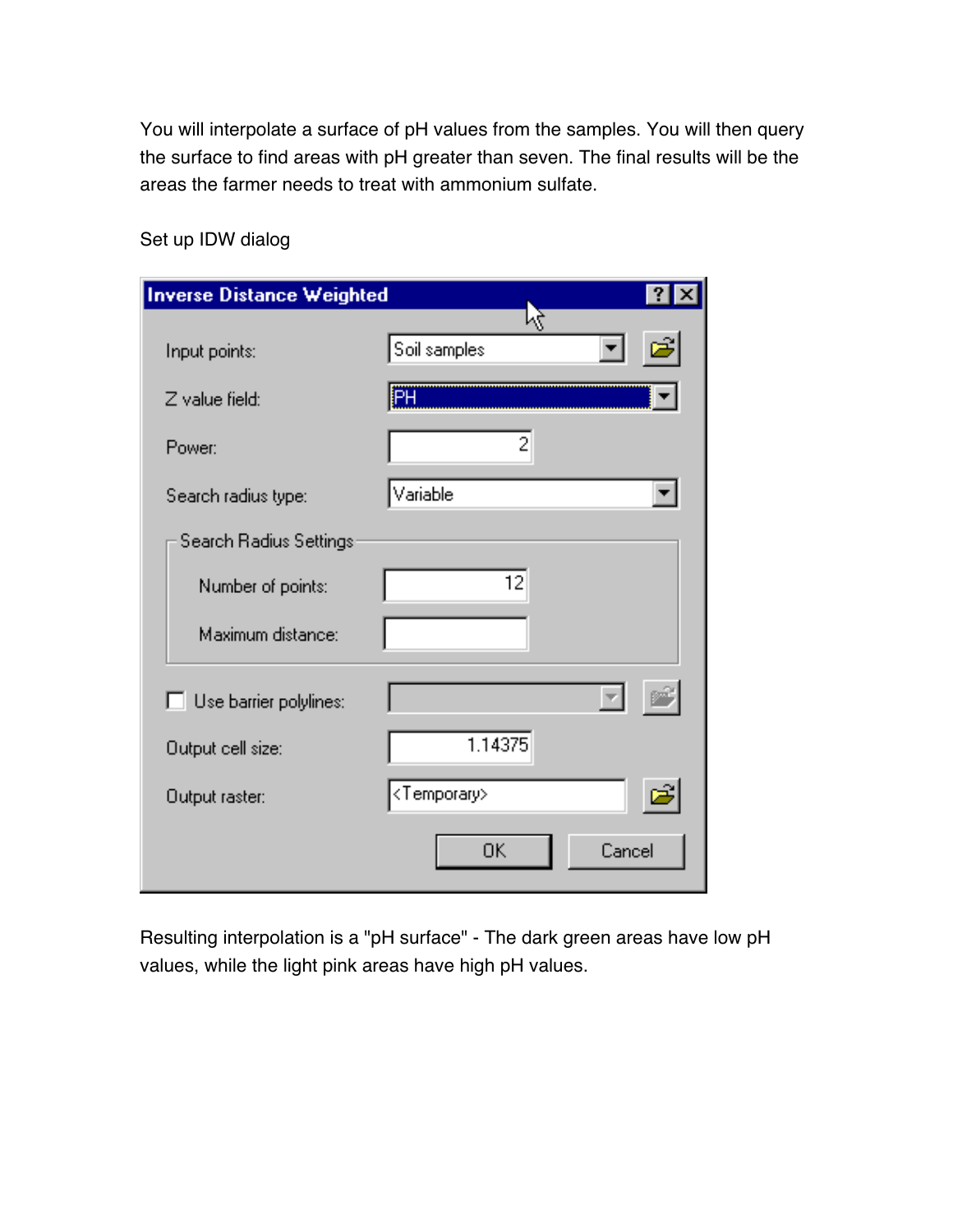You will interpolate a surface of pH values from the samples. You will then query the surface to find areas with pH greater than seven. The final results will be the areas the farmer needs to treat with ammonium sulfate.

| <b>Inverse Distance Weighted</b> |                         | ?      |
|----------------------------------|-------------------------|--------|
| Input points:                    | 3<br>Soil samples       |        |
| Z value field:                   | ĮΡH                     |        |
| Power:                           | 2                       |        |
| Search radius type:              | Variable                |        |
| Search Radius Settings           |                         |        |
| Number of points:                | 12                      |        |
| Maximum distance:                |                         |        |
| $\Box$ Use barrier polylines:    |                         |        |
| Output cell size:                | 1.14375                 |        |
| Output raster:                   | <temporary></temporary> |        |
|                                  | 0K                      | Cancel |

Set up IDW dialog

Resulting interpolation is a "pH surface" - The dark green areas have low pH values, while the light pink areas have high pH values.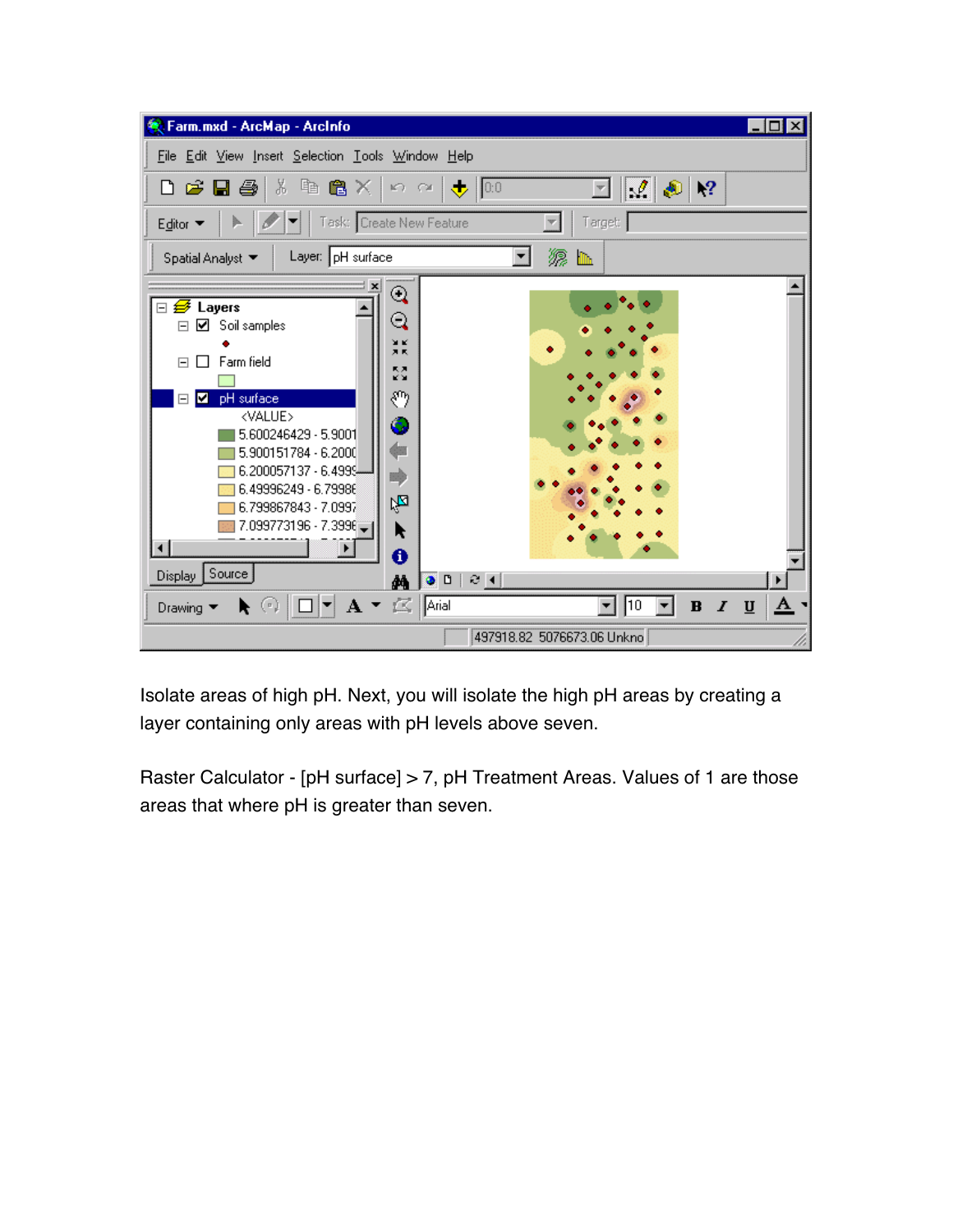

Isolate areas of high pH. Next, you will isolate the high pH areas by creating a layer containing only areas with pH levels above seven.

Raster Calculator - [pH surface] > 7, pH Treatment Areas. Values of 1 are those areas that where pH is greater than seven.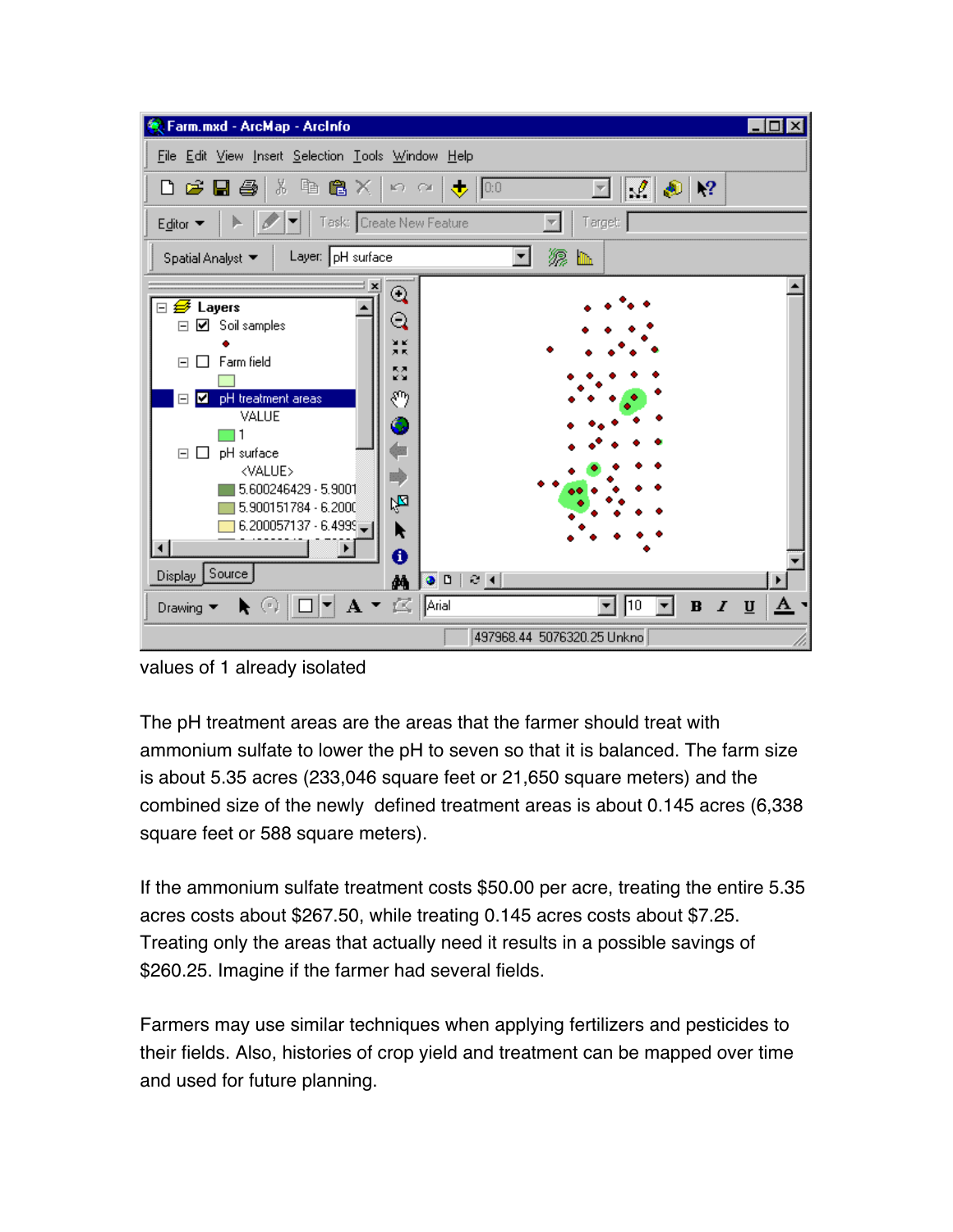

values of 1 already isolated

The pH treatment areas are the areas that the farmer should treat with ammonium sulfate to lower the pH to seven so that it is balanced. The farm size is about 5.35 acres (233,046 square feet or 21,650 square meters) and the combined size of the newly defined treatment areas is about 0.145 acres (6,338 square feet or 588 square meters).

If the ammonium sulfate treatment costs \$50.00 per acre, treating the entire 5.35 acres costs about \$267.50, while treating 0.145 acres costs about \$7.25. Treating only the areas that actually need it results in a possible savings of \$260.25. Imagine if the farmer had several fields.

Farmers may use similar techniques when applying fertilizers and pesticides to their fields. Also, histories of crop yield and treatment can be mapped over time and used for future planning.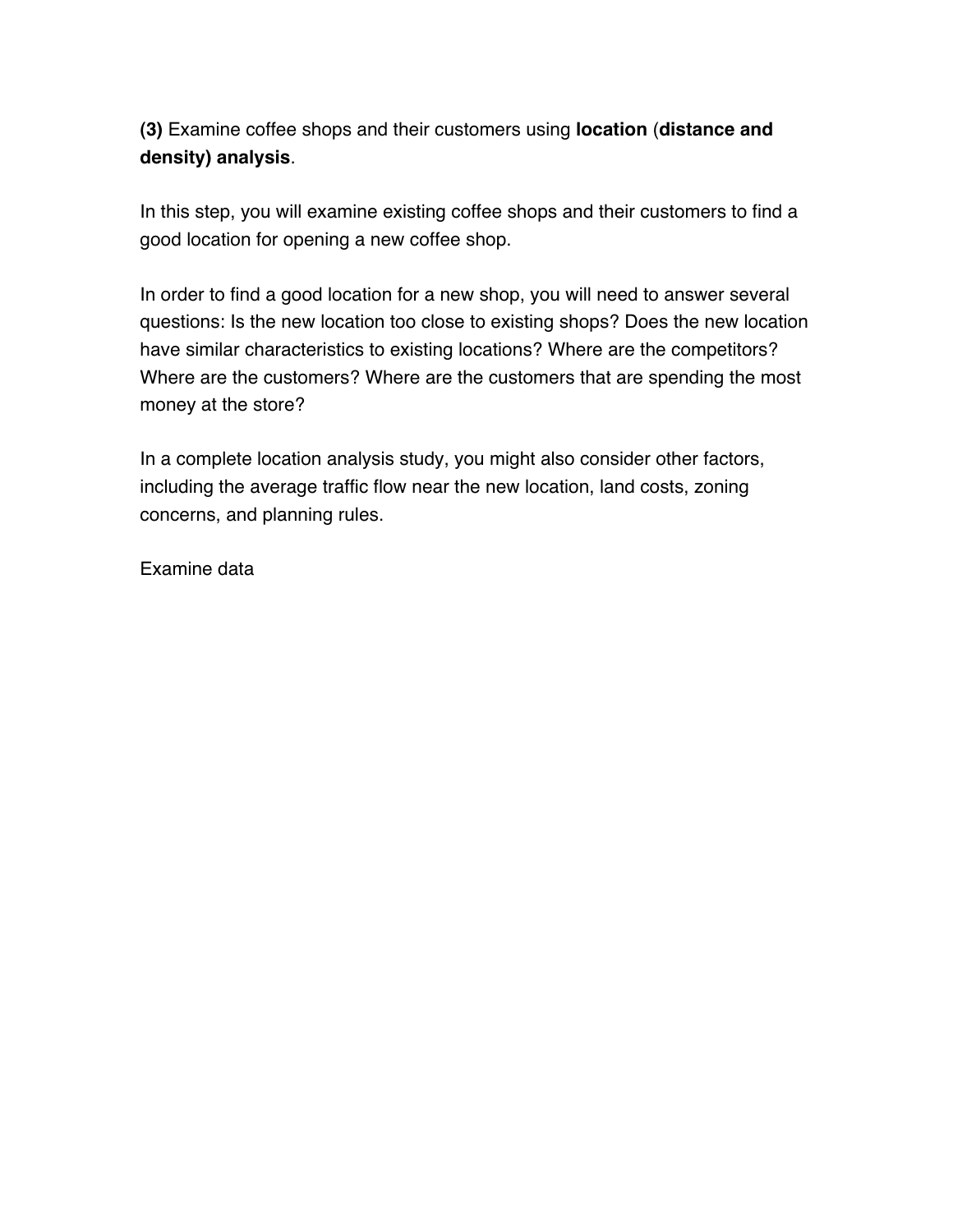**(3)** Examine coffee shops and their customers using **location** (**distance and density) analysis**.

In this step, you will examine existing coffee shops and their customers to find a good location for opening a new coffee shop.

In order to find a good location for a new shop, you will need to answer several questions: Is the new location too close to existing shops? Does the new location have similar characteristics to existing locations? Where are the competitors? Where are the customers? Where are the customers that are spending the most money at the store?

In a complete location analysis study, you might also consider other factors, including the average traffic flow near the new location, land costs, zoning concerns, and planning rules.

Examine data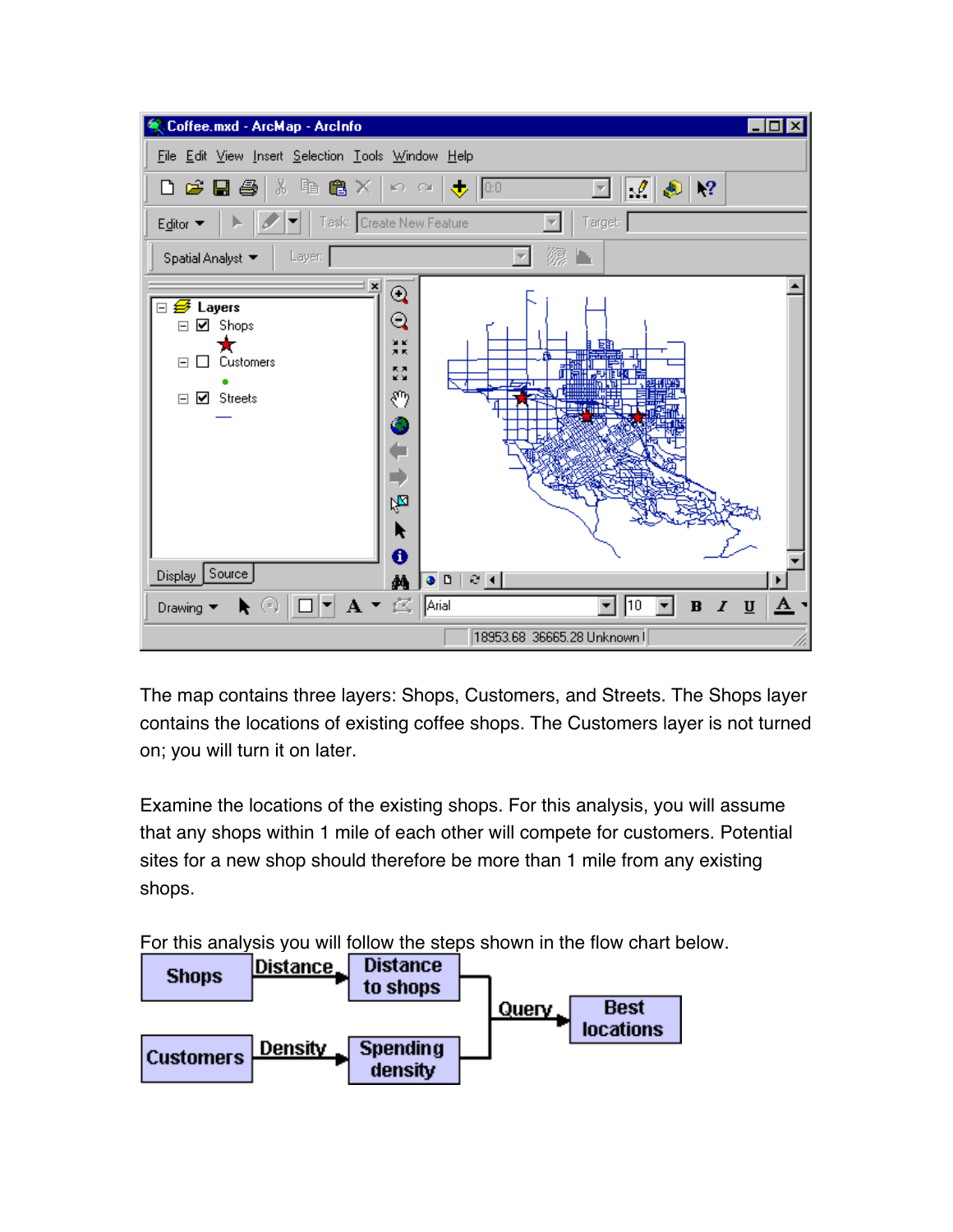

The map contains three layers: Shops, Customers, and Streets. The Shops layer contains the locations of existing coffee shops. The Customers layer is not turned on; you will turn it on later.

Examine the locations of the existing shops. For this analysis, you will assume that any shops within 1 mile of each other will compete for customers. Potential sites for a new shop should therefore be more than 1 mile from any existing shops.

For this analysis you will follow the steps shown in the flow chart below.

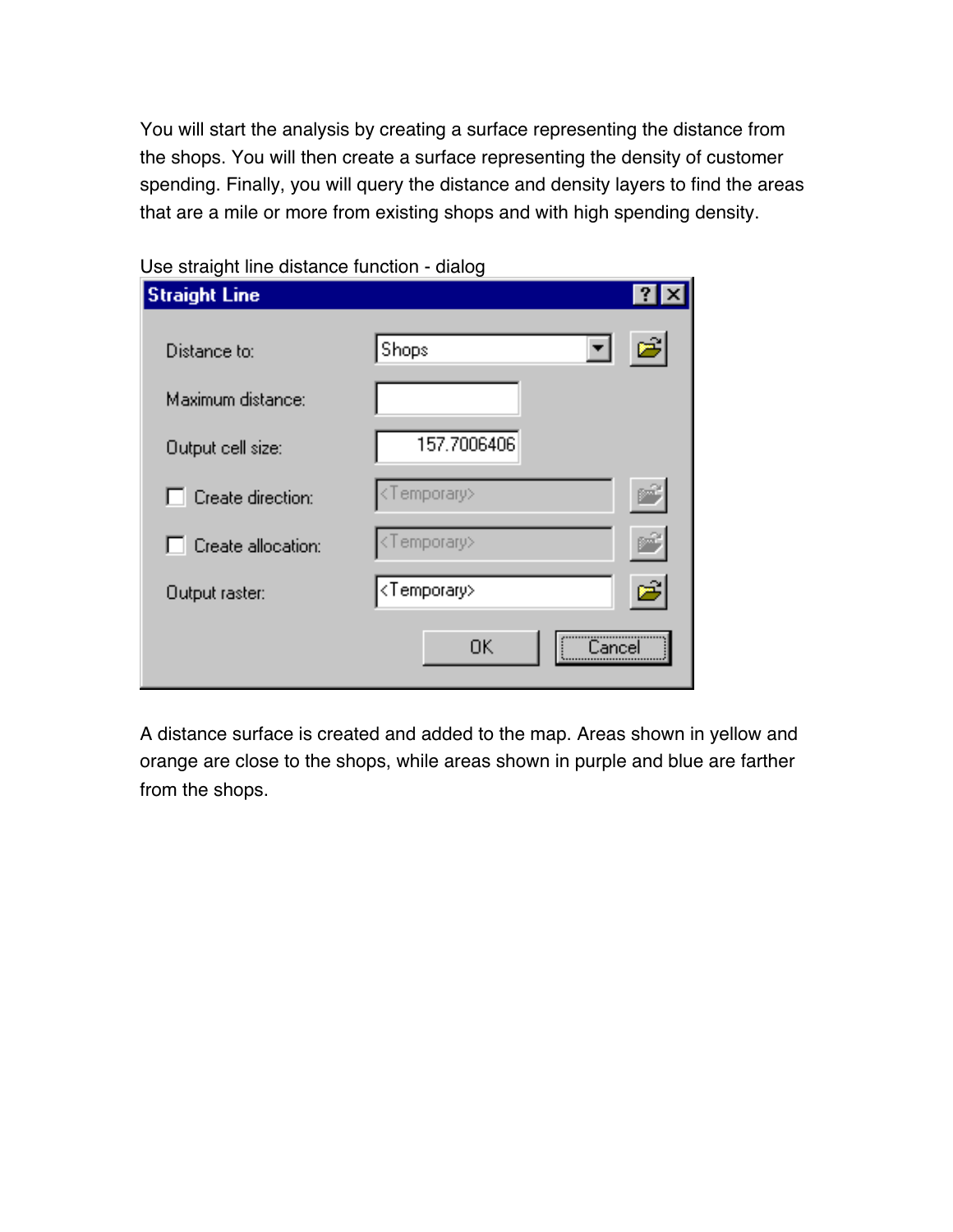You will start the analysis by creating a surface representing the distance from the shops. You will then create a surface representing the density of customer spending. Finally, you will query the distance and density layers to find the areas that are a mile or more from existing shops and with high spending density.

| <b>Straight Line</b>     |                               | ?      |
|--------------------------|-------------------------------|--------|
| Distance to:             | $\blacktriangledown$<br>Shops | e      |
| Maximum distance:        |                               |        |
| Output cell size:        | 157.7006406                   |        |
| $\Box$ Create direction: | <temporary></temporary>       |        |
| Create allocation:       | <temporary></temporary>       |        |
| Output raster:           | <temporary></temporary>       | උ      |
|                          | 0K                            | `ancel |

Use straight line distance function - dialog

A distance surface is created and added to the map. Areas shown in yellow and orange are close to the shops, while areas shown in purple and blue are farther from the shops.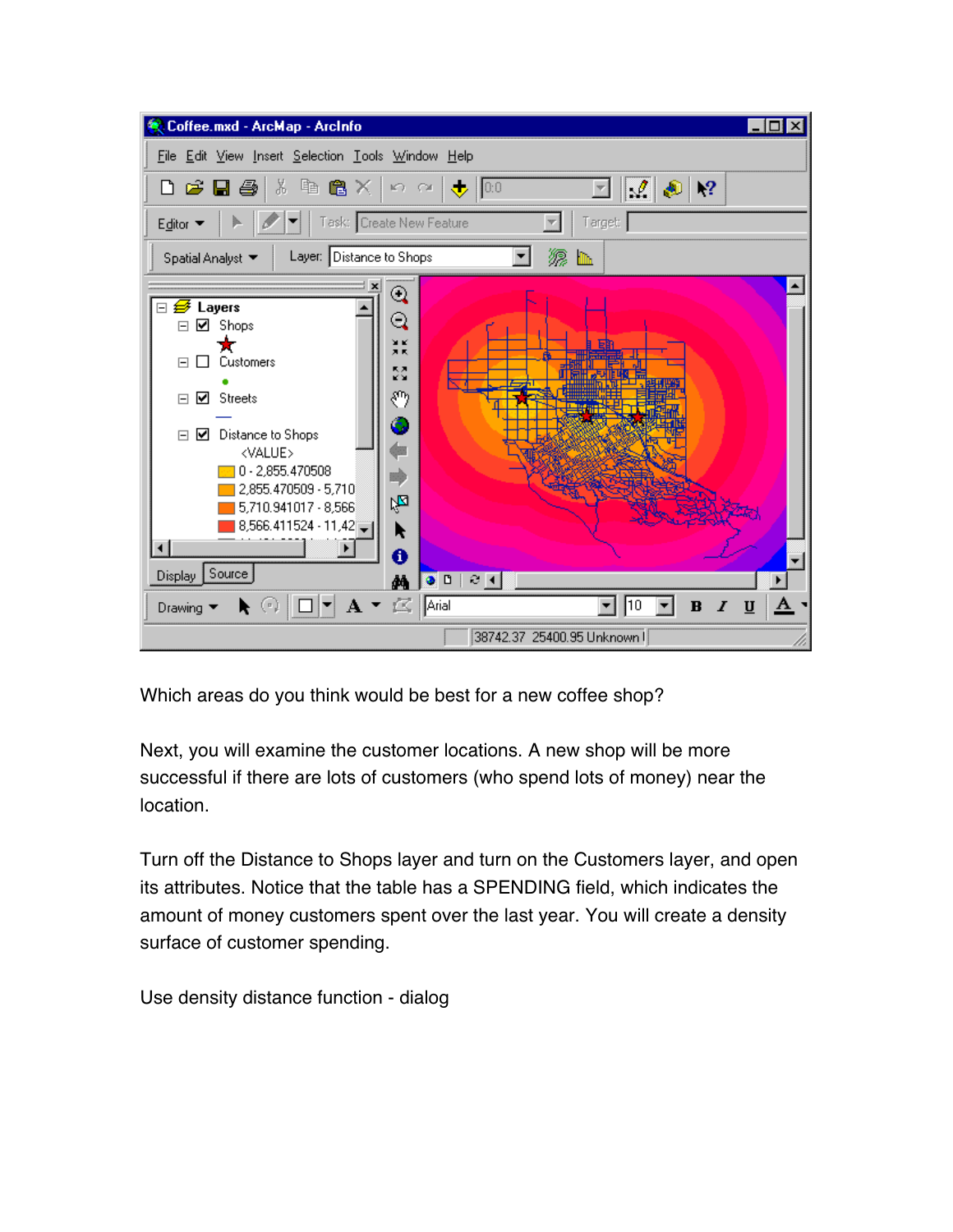

Which areas do you think would be best for a new coffee shop?

Next, you will examine the customer locations. A new shop will be more successful if there are lots of customers (who spend lots of money) near the location.

Turn off the Distance to Shops layer and turn on the Customers layer, and open its attributes. Notice that the table has a SPENDING field, which indicates the amount of money customers spent over the last year. You will create a density surface of customer spending.

Use density distance function - dialog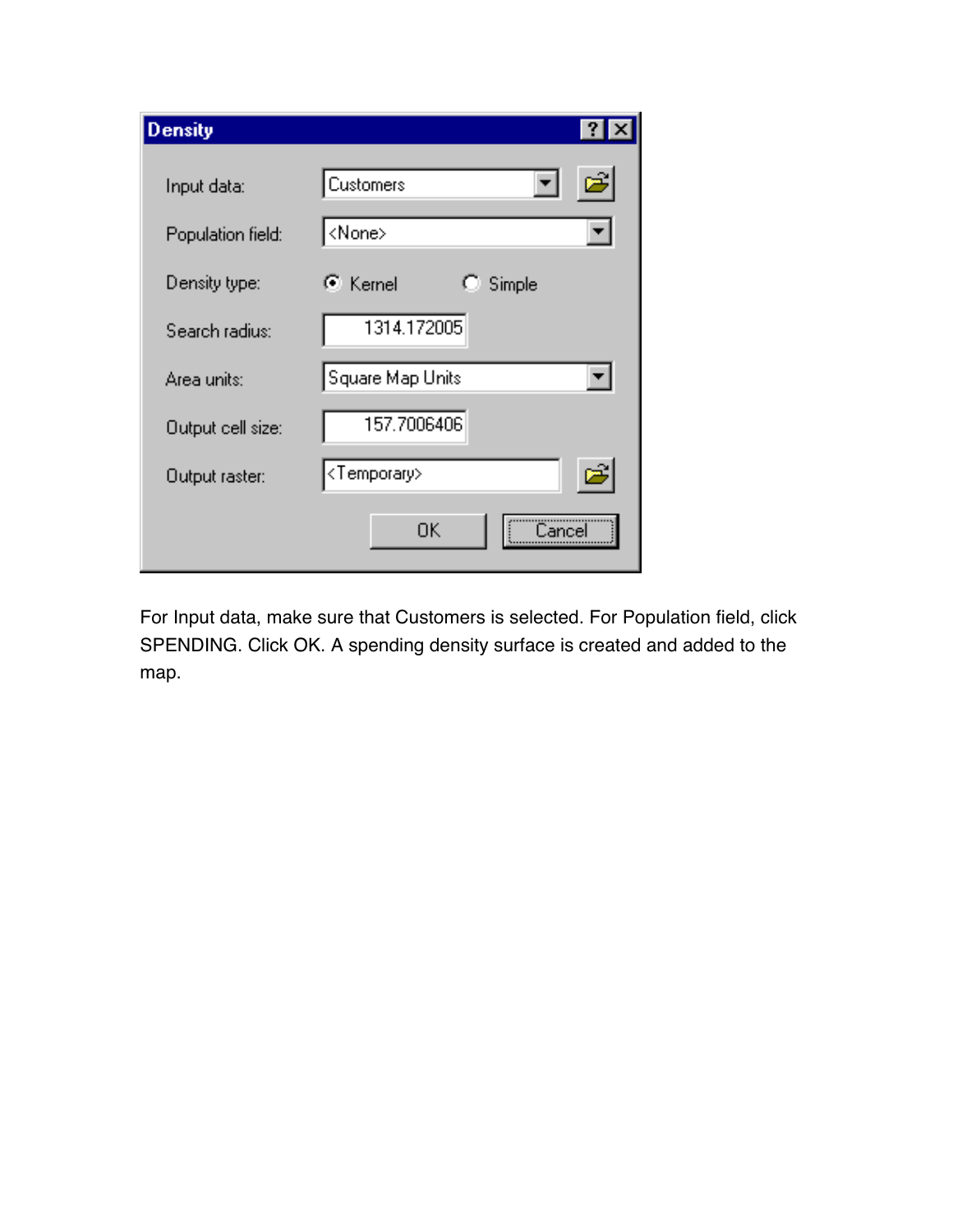| <b>Density</b>    | $\vert$ ?                    |
|-------------------|------------------------------|
| Input data:       | $\vec{r}$<br>▾╎<br>Customers |
| Population field: | ∣ <none></none>              |
| Density type:     | ় Kernel<br>Simple<br>O.     |
| Search radius:    | 1314.172005                  |
| Area units:       | Square Map Units             |
| Output cell size: | 157.7006406                  |
| Output raster:    | <temporary></temporary>      |
|                   | OΚ                           |

For Input data, make sure that Customers is selected. For Population field, click SPENDING. Click OK. A spending density surface is created and added to the map.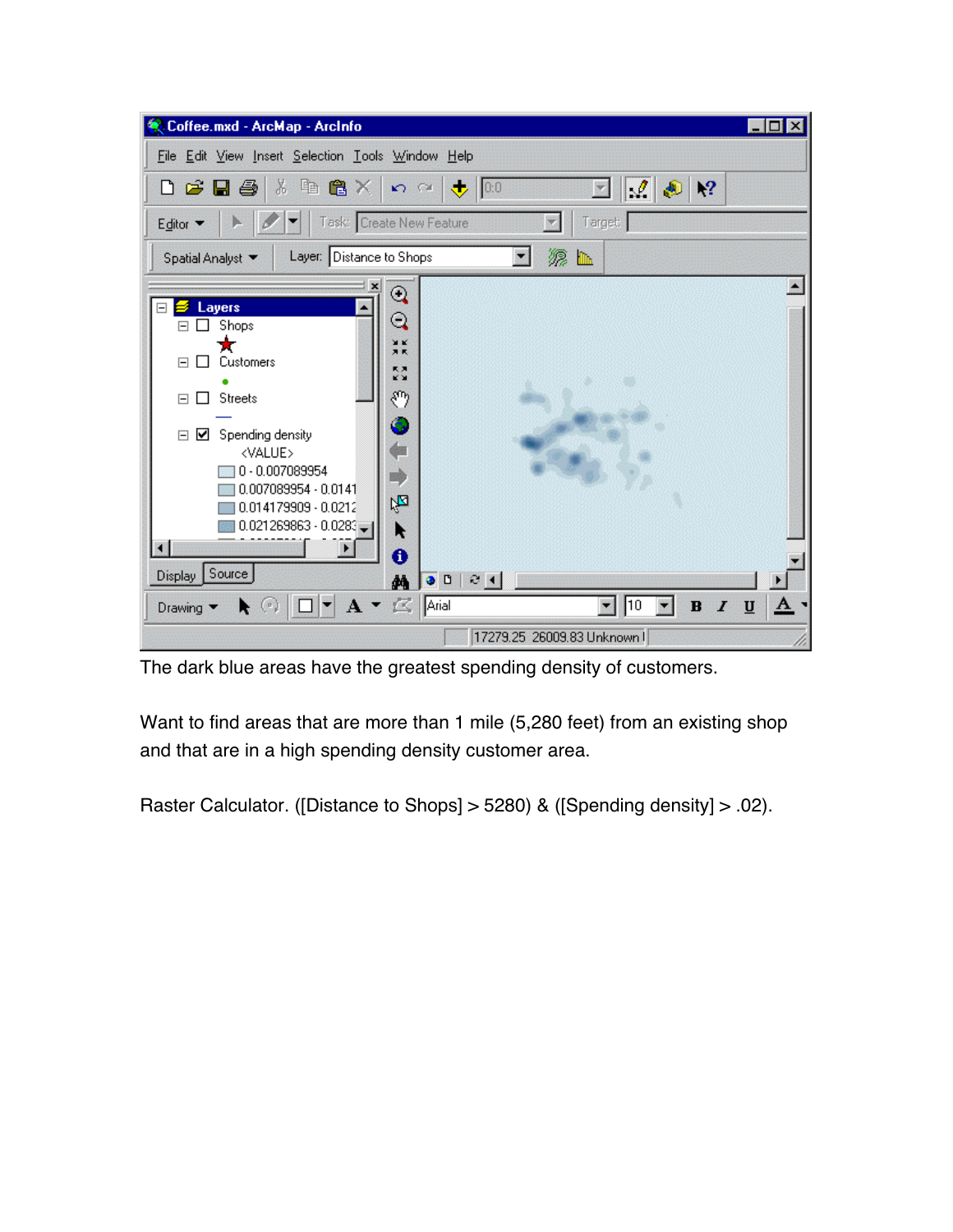| Coffee.mxd - ArcMap - ArcInfo                                                                                                                                                                                                                                                                                                          |                                                                                                                   | $\mathbb{Z}[\mathbb{Z}]\times$ |
|----------------------------------------------------------------------------------------------------------------------------------------------------------------------------------------------------------------------------------------------------------------------------------------------------------------------------------------|-------------------------------------------------------------------------------------------------------------------|--------------------------------|
| File Edit View Insert Selection Tools Window Help                                                                                                                                                                                                                                                                                      |                                                                                                                   |                                |
| $\chi$<br>电离义<br>$D$ $\boldsymbol{\beta}$ d $\boldsymbol{\beta}$                                                                                                                                                                                                                                                                       | $\mathscr{L}$ .<br>$\bigtriangledown$ 0.0<br>$\mathbb{R}^2$<br>$\mathcal{L}(\mathcal{L}(\mathcal{L}))$<br>Ð<br>P. |                                |
| Editor •                                                                                                                                                                                                                                                                                                                               | Target<br>Task: Create New Feature                                                                                |                                |
| Layer: Distance to Shops<br>Spatial Analyst                                                                                                                                                                                                                                                                                            |                                                                                                                   |                                |
| ×<br>Layers<br>$\boxminus$<br>Shops<br>Customers<br>$\Box$<br>$\mathsf{L}$<br><b>Streets</b><br>$\boxed{\blacksquare}$<br>- 1<br>Spending density<br>$\Box$<br>☑<br><value><br/><math>0 - 0.007089954</math><br/>0.007089954 - 0.0141<br/>0.014179909 - 0.0212<br/><math>0.021269863 - 0.0283</math><br/>×.<br/>Display Source</value> | $^{\circ}$<br>Q<br>жĸ<br>月式<br>RЯ,<br>ĸх<br>89<br>ó<br>陁<br>ĸ<br>0<br>0 <sub>0</sub><br>30 H<br>菛                 |                                |
| $\left( \begin{array}{c} n \end{array} \right)$<br>Drawing $\blacktriangledown$<br>ĸ                                                                                                                                                                                                                                                   | $A \cdot \mathbb{Z}$ Arial<br>$\sqrt{10}$<br>$I \square$<br>$\, {\bf B}$                                          | A                              |
|                                                                                                                                                                                                                                                                                                                                        | 17279.25 26009.83 Unknown I                                                                                       |                                |

The dark blue areas have the greatest spending density of customers.

Want to find areas that are more than 1 mile (5,280 feet) from an existing shop and that are in a high spending density customer area.

Raster Calculator. ([Distance to Shops] > 5280) & ([Spending density] > .02).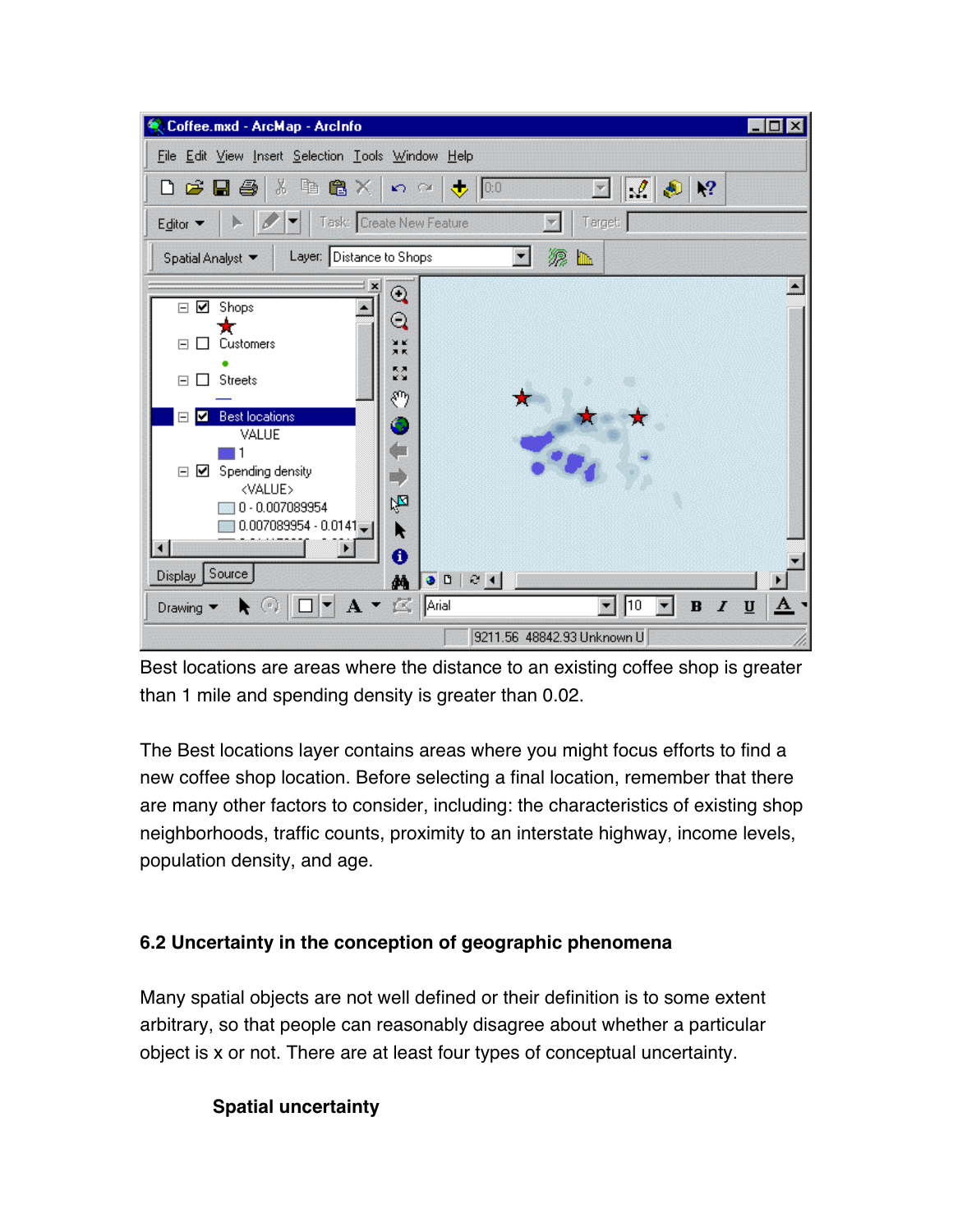| Coffee.mxd - ArcMap - ArcInfo                                                                                                                                                                                                                                                                                                                                                                                                                                                                                          |                                                                                                                            | $\mathbb{Z}$ of $\mathbf{X}$ |
|------------------------------------------------------------------------------------------------------------------------------------------------------------------------------------------------------------------------------------------------------------------------------------------------------------------------------------------------------------------------------------------------------------------------------------------------------------------------------------------------------------------------|----------------------------------------------------------------------------------------------------------------------------|------------------------------|
| File Edit View Insert Selection Tools Window Help                                                                                                                                                                                                                                                                                                                                                                                                                                                                      |                                                                                                                            |                              |
| $\chi$<br>电离义<br>$D$ $\boldsymbol{\beta}$ d $\boldsymbol{\beta}$ i                                                                                                                                                                                                                                                                                                                                                                                                                                                     | $\mathcal{A}$ 3 $\mathcal{P}$<br>$\Omega \cong \left[\begin{array}{c c} \bullet & 0.0 \end{array}\right]$<br>$\mathcal{R}$ |                              |
| Task: Create New Feature<br>Editor •                                                                                                                                                                                                                                                                                                                                                                                                                                                                                   | Target                                                                                                                     |                              |
| Layer: Distance to Shops<br>Spatial Analyst                                                                                                                                                                                                                                                                                                                                                                                                                                                                            | 源 ⊪                                                                                                                        |                              |
| $\mathbf{x}$<br>$^\circledR$<br>Shops<br>☑<br>$\Box$<br>Q<br>Customers<br>ЖK<br>E<br>П<br>万民<br>馬馬<br>ĸх<br><b>Streets</b><br>$\Box$<br>جس<br><b>Best locations</b><br>$\Box$<br>M<br>ó<br>VALUE<br>☑<br>Spending density<br>$\boxminus$<br><value><br/>庖<br/><math>0 - 0.007089954</math><br/><math>0.007089954 - 0.0141</math><br/>ĸ<br/>0<br/>Display Source<br/>菛<br/><math>A \cdot \mathbb{Z}</math> Arial<br/><math>\blacktriangledown</math><br/>Bandari Ba<br/>Drawing <math>\blacktriangledown</math></value> | 0 <sub>0</sub><br>$\parallel$ 3 $\parallel$<br>$I \ \underline{\mathsf{U}}$<br>$\parallel$ 10<br>$\, {\bf B}$              |                              |
|                                                                                                                                                                                                                                                                                                                                                                                                                                                                                                                        | 9211.56 48842.93 Unknown U                                                                                                 |                              |

Best locations are areas where the distance to an existing coffee shop is greater than 1 mile and spending density is greater than 0.02.

The Best locations layer contains areas where you might focus efforts to find a new coffee shop location. Before selecting a final location, remember that there are many other factors to consider, including: the characteristics of existing shop neighborhoods, traffic counts, proximity to an interstate highway, income levels, population density, and age.

# **6.2 Uncertainty in the conception of geographic phenomena**

Many spatial objects are not well defined or their definition is to some extent arbitrary, so that people can reasonably disagree about whether a particular object is x or not. There are at least four types of conceptual uncertainty.

# **Spatial uncertainty**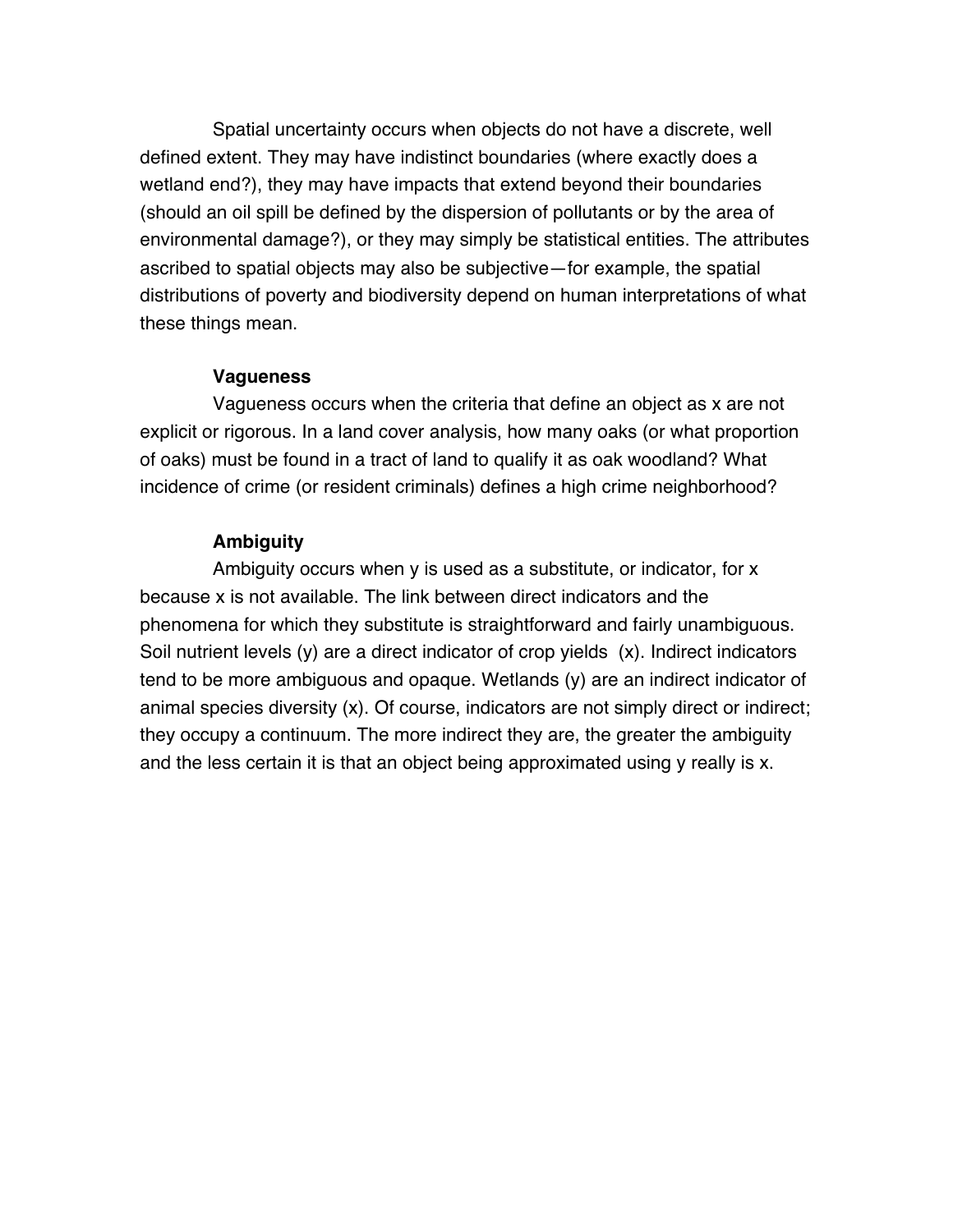Spatial uncertainty occurs when objects do not have a discrete, well defined extent. They may have indistinct boundaries (where exactly does a wetland end?), they may have impacts that extend beyond their boundaries (should an oil spill be defined by the dispersion of pollutants or by the area of environmental damage?), or they may simply be statistical entities. The attributes ascribed to spatial objects may also be subjective—for example, the spatial distributions of poverty and biodiversity depend on human interpretations of what these things mean.

#### **Vagueness**

 Vagueness occurs when the criteria that define an object as x are not explicit or rigorous. In a land cover analysis, how many oaks (or what proportion of oaks) must be found in a tract of land to qualify it as oak woodland? What incidence of crime (or resident criminals) defines a high crime neighborhood?

#### **Ambiguity**

 Ambiguity occurs when y is used as a substitute, or indicator, for x because x is not available. The link between direct indicators and the phenomena for which they substitute is straightforward and fairly unambiguous. Soil nutrient levels (y) are a direct indicator of crop yields (x). Indirect indicators tend to be more ambiguous and opaque. Wetlands (y) are an indirect indicator of animal species diversity (x). Of course, indicators are not simply direct or indirect; they occupy a continuum. The more indirect they are, the greater the ambiguity and the less certain it is that an object being approximated using y really is x.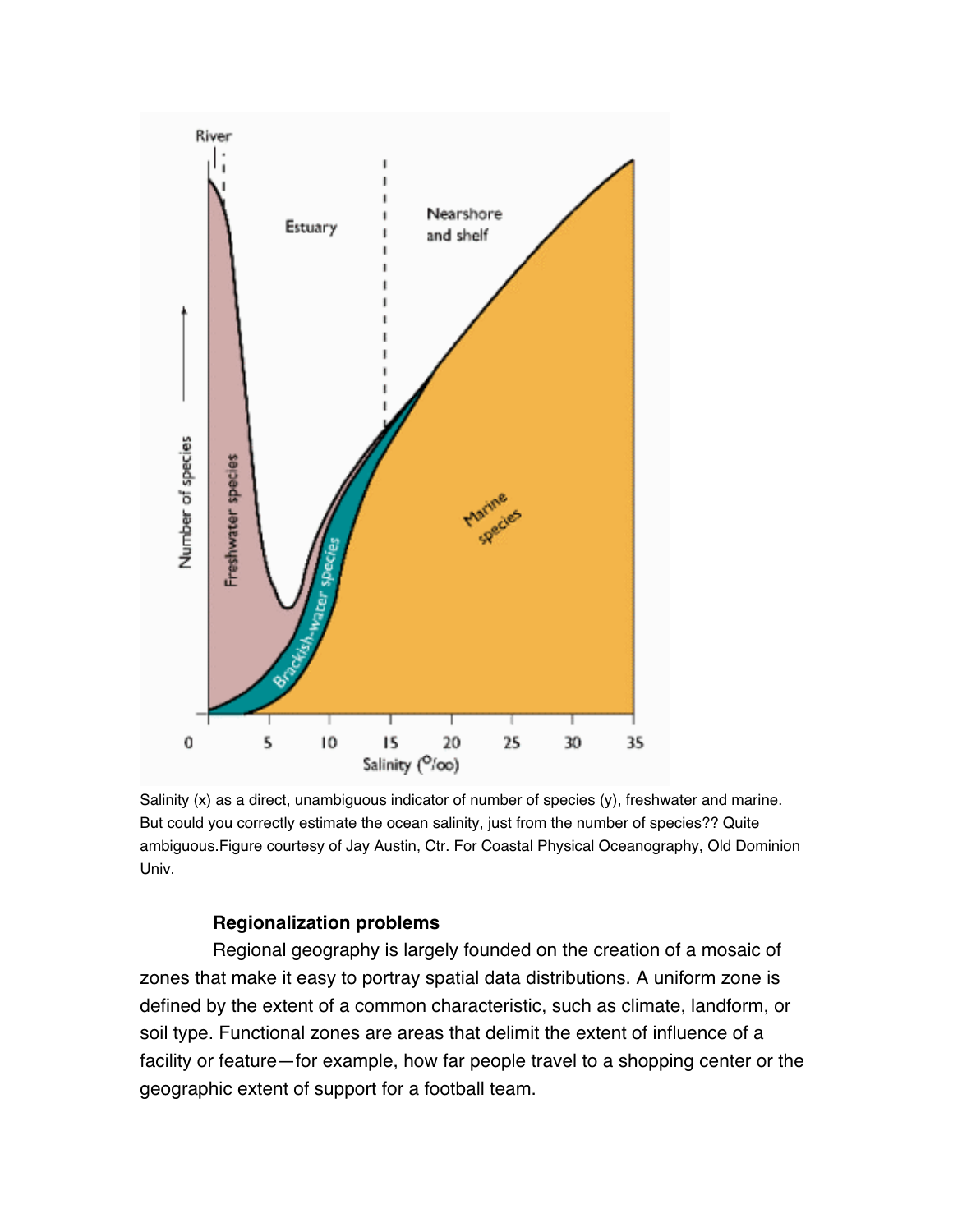

Salinity (x) as a direct, unambiguous indicator of number of species (y), freshwater and marine. But could you correctly estimate the ocean salinity, just from the number of species?? Quite ambiguous.Figure courtesy of Jay Austin, Ctr. For Coastal Physical Oceanography, Old Dominion Univ.

#### **Regionalization problems**

 Regional geography is largely founded on the creation of a mosaic of zones that make it easy to portray spatial data distributions. A uniform zone is defined by the extent of a common characteristic, such as climate, landform, or soil type. Functional zones are areas that delimit the extent of influence of a facility or feature—for example, how far people travel to a shopping center or the geographic extent of support for a football team.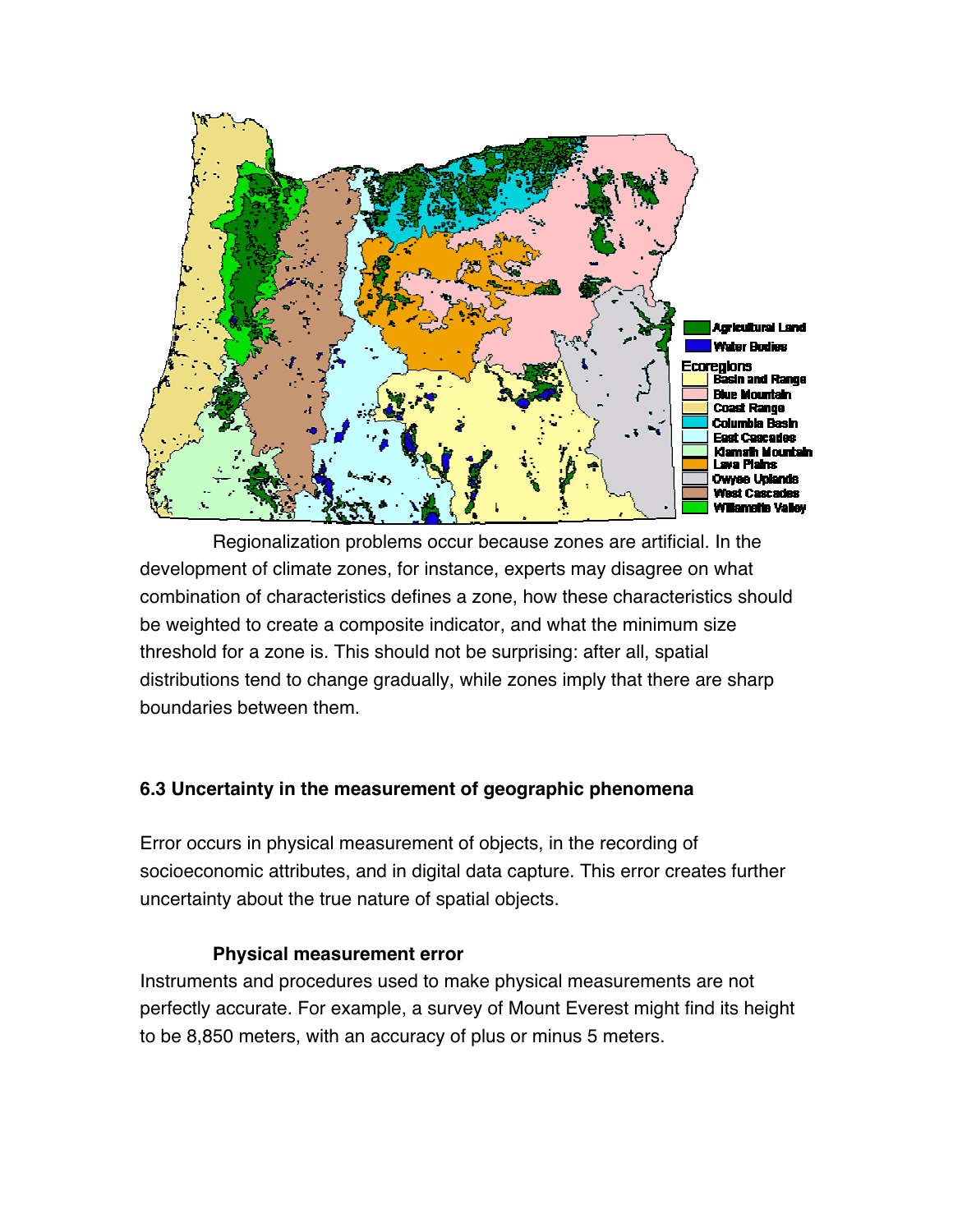

 Regionalization problems occur because zones are artificial. In the development of climate zones, for instance, experts may disagree on what combination of characteristics defines a zone, how these characteristics should be weighted to create a composite indicator, and what the minimum size threshold for a zone is. This should not be surprising: after all, spatial distributions tend to change gradually, while zones imply that there are sharp boundaries between them.

# **6.3 Uncertainty in the measurement of geographic phenomena**

Error occurs in physical measurement of objects, in the recording of socioeconomic attributes, and in digital data capture. This error creates further uncertainty about the true nature of spatial objects.

#### **Physical measurement error**

Instruments and procedures used to make physical measurements are not perfectly accurate. For example, a survey of Mount Everest might find its height to be 8,850 meters, with an accuracy of plus or minus 5 meters.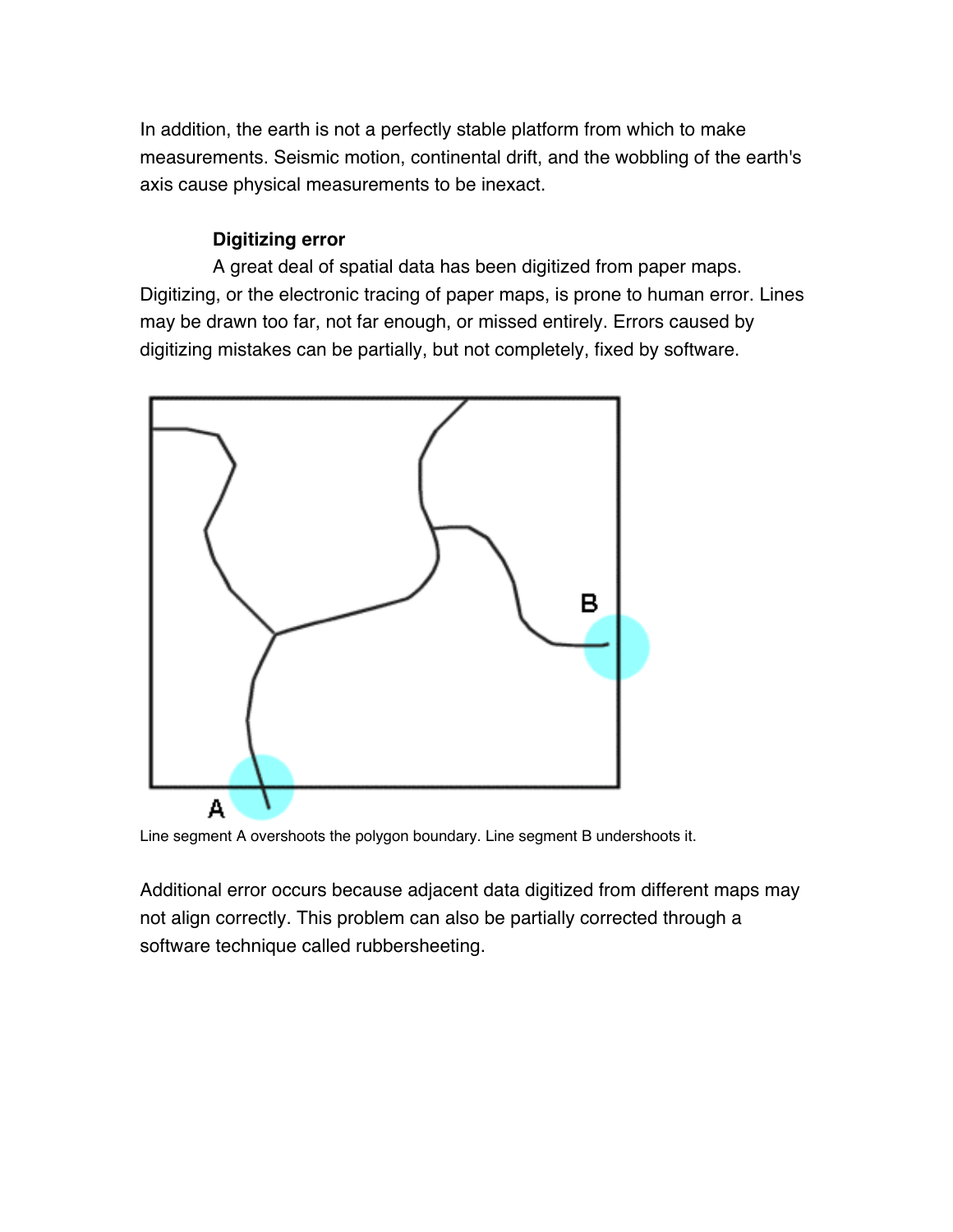In addition, the earth is not a perfectly stable platform from which to make measurements. Seismic motion, continental drift, and the wobbling of the earth's axis cause physical measurements to be inexact.

## **Digitizing error**

 A great deal of spatial data has been digitized from paper maps. Digitizing, or the electronic tracing of paper maps, is prone to human error. Lines may be drawn too far, not far enough, or missed entirely. Errors caused by digitizing mistakes can be partially, but not completely, fixed by software.



Line segment A overshoots the polygon boundary. Line segment B undershoots it.

Additional error occurs because adjacent data digitized from different maps may not align correctly. This problem can also be partially corrected through a software technique called rubbersheeting.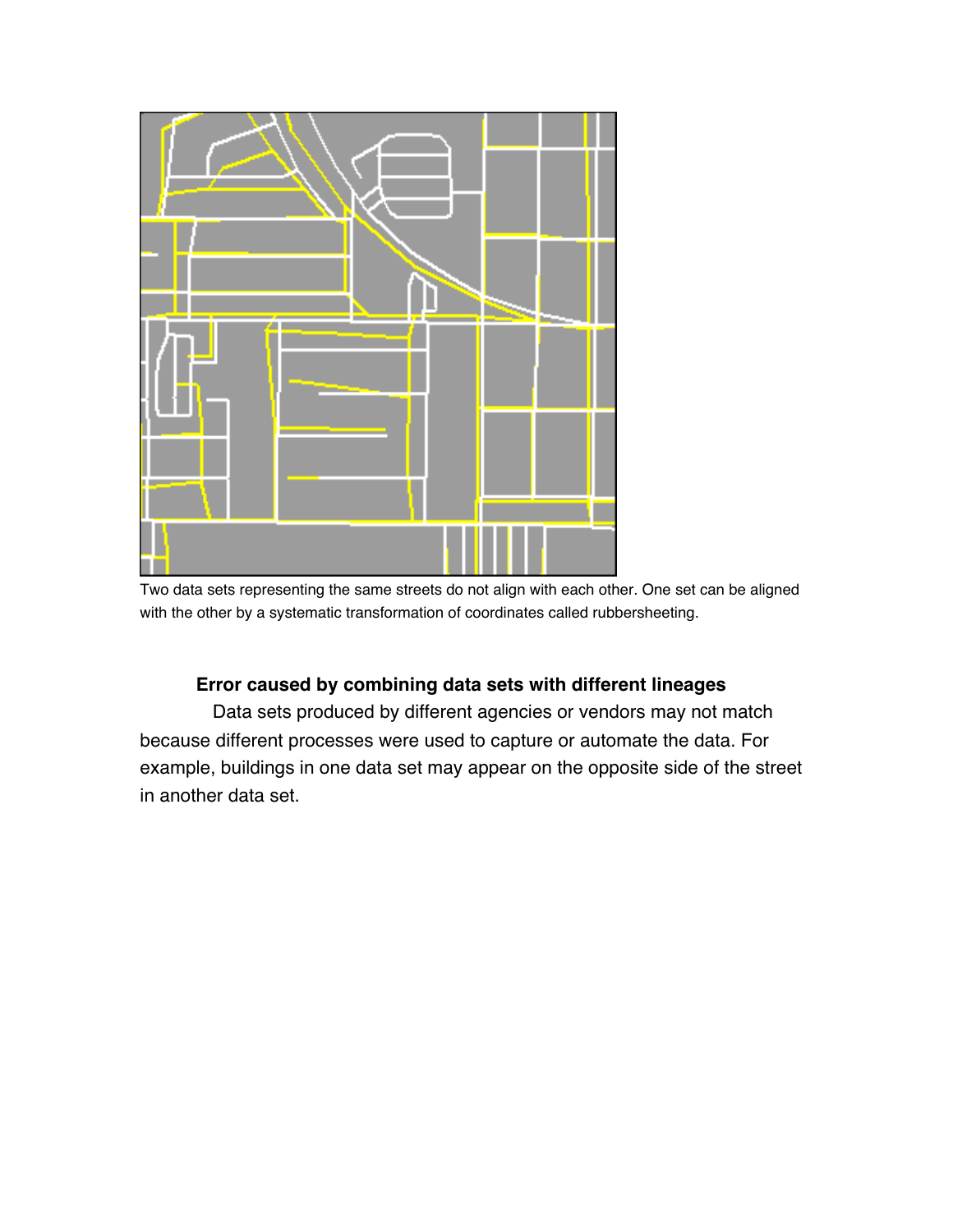

Two data sets representing the same streets do not align with each other. One set can be aligned with the other by a systematic transformation of coordinates called rubbersheeting.

## **Error caused by combining data sets with different lineages**

 Data sets produced by different agencies or vendors may not match because different processes were used to capture or automate the data. For example, buildings in one data set may appear on the opposite side of the street in another data set.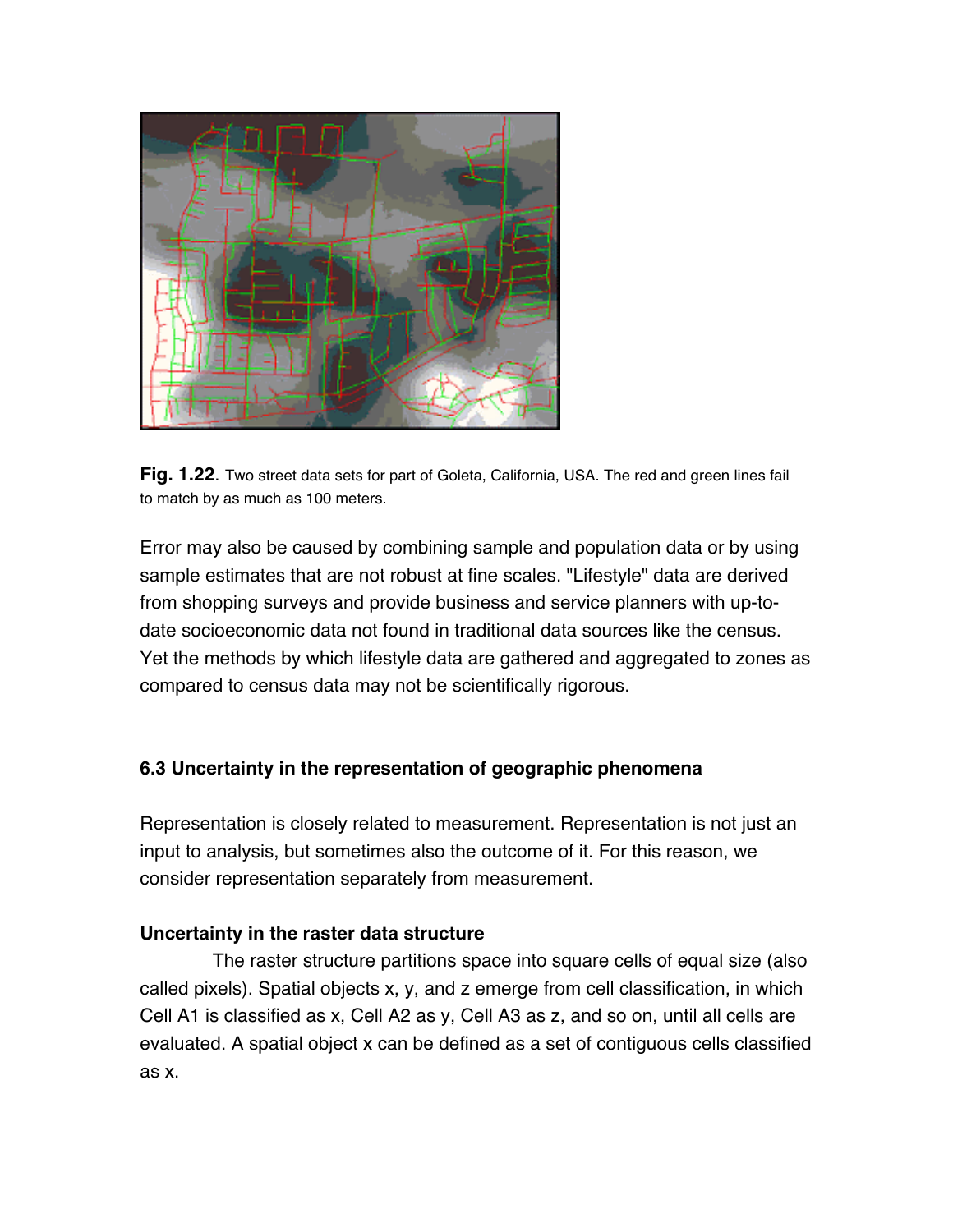



Error may also be caused by combining sample and population data or by using sample estimates that are not robust at fine scales. "Lifestyle" data are derived from shopping surveys and provide business and service planners with up-todate socioeconomic data not found in traditional data sources like the census. Yet the methods by which lifestyle data are gathered and aggregated to zones as compared to census data may not be scientifically rigorous.

## **6.3 Uncertainty in the representation of geographic phenomena**

Representation is closely related to measurement. Representation is not just an input to analysis, but sometimes also the outcome of it. For this reason, we consider representation separately from measurement.

#### **Uncertainty in the raster data structure**

 The raster structure partitions space into square cells of equal size (also called pixels). Spatial objects x, y, and z emerge from cell classification, in which Cell A1 is classified as x, Cell A2 as y, Cell A3 as z, and so on, until all cells are evaluated. A spatial object x can be defined as a set of contiguous cells classified as x.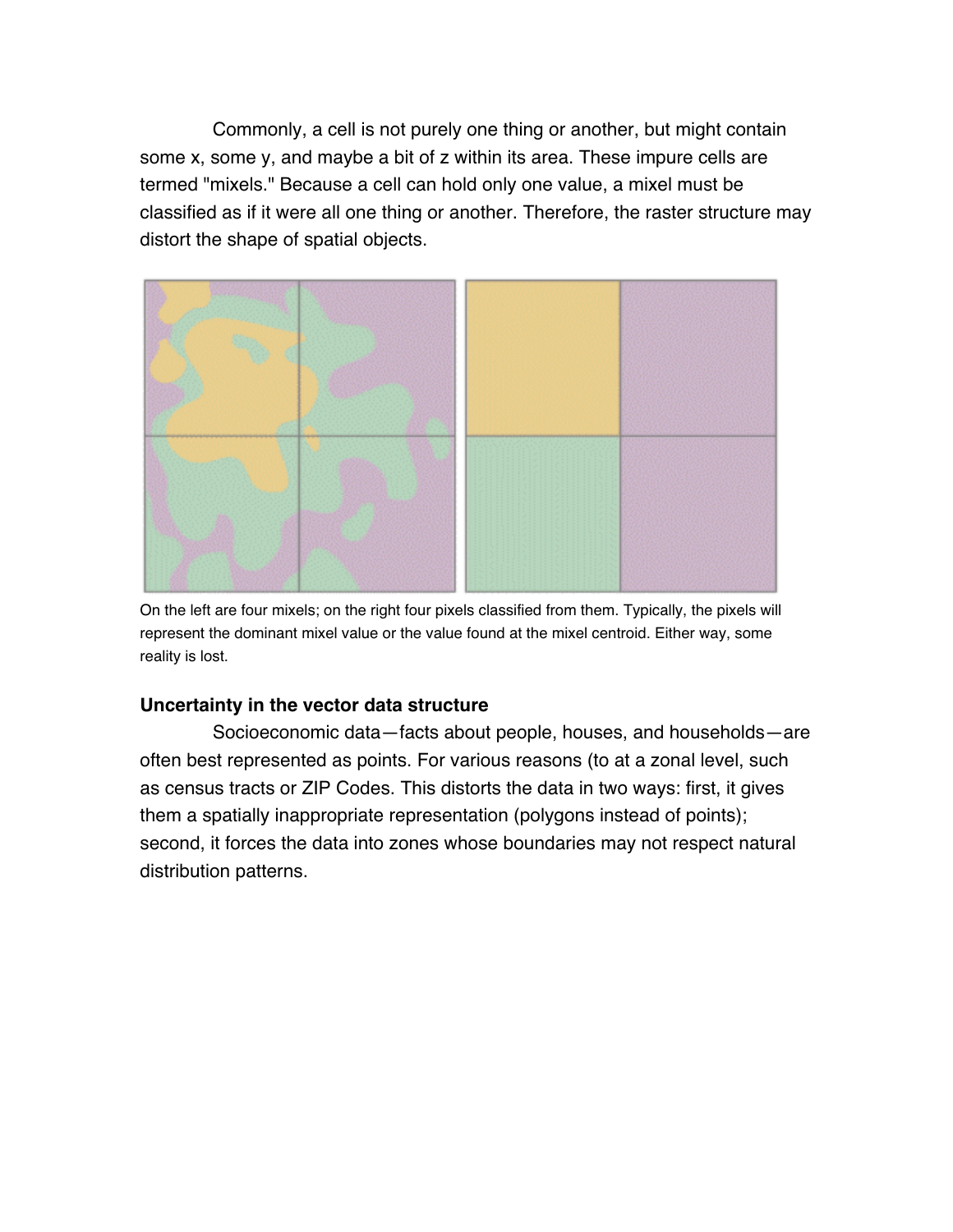Commonly, a cell is not purely one thing or another, but might contain some x, some y, and maybe a bit of z within its area. These impure cells are termed "mixels." Because a cell can hold only one value, a mixel must be classified as if it were all one thing or another. Therefore, the raster structure may distort the shape of spatial objects.



On the left are four mixels; on the right four pixels classified from them. Typically, the pixels will represent the dominant mixel value or the value found at the mixel centroid. Either way, some reality is lost.

## **Uncertainty in the vector data structure**

 Socioeconomic data—facts about people, houses, and households—are often best represented as points. For various reasons (to at a zonal level, such as census tracts or ZIP Codes. This distorts the data in two ways: first, it gives them a spatially inappropriate representation (polygons instead of points); second, it forces the data into zones whose boundaries may not respect natural distribution patterns.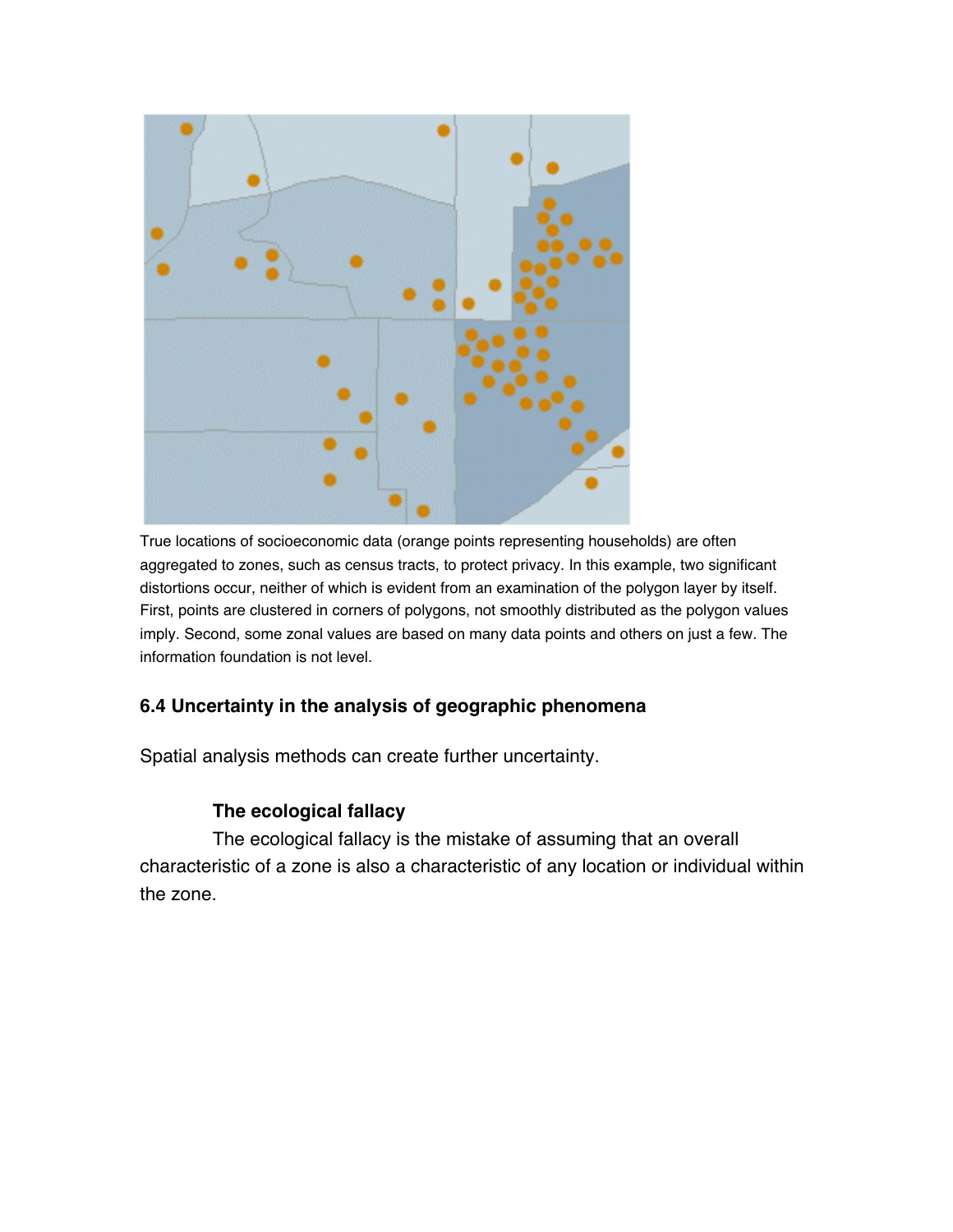

True locations of socioeconomic data (orange points representing households) are often aggregated to zones, such as census tracts, to protect privacy. In this example, two significant distortions occur, neither of which is evident from an examination of the polygon layer by itself. First, points are clustered in corners of polygons, not smoothly distributed as the polygon values imply. Second, some zonal values are based on many data points and others on just a few. The information foundation is not level.

# **6.4 Uncertainty in the analysis of geographic phenomena**

Spatial analysis methods can create further uncertainty.

## **The ecological fallacy**

 The ecological fallacy is the mistake of assuming that an overall characteristic of a zone is also a characteristic of any location or individual within the zone.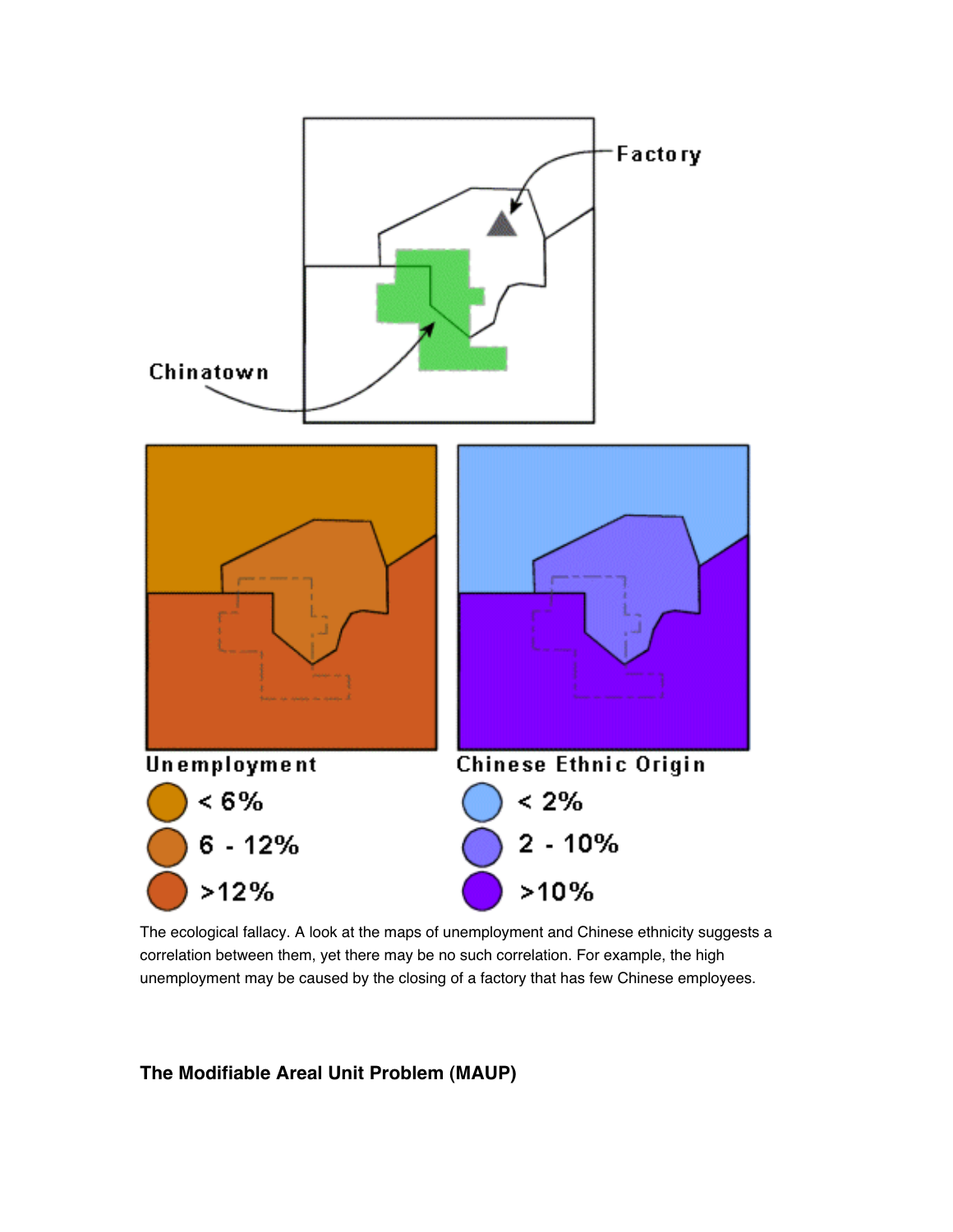

The ecological fallacy. A look at the maps of unemployment and Chinese ethnicity suggests a correlation between them, yet there may be no such correlation. For example, the high unemployment may be caused by the closing of a factory that has few Chinese employees.

## **The Modifiable Areal Unit Problem (MAUP)**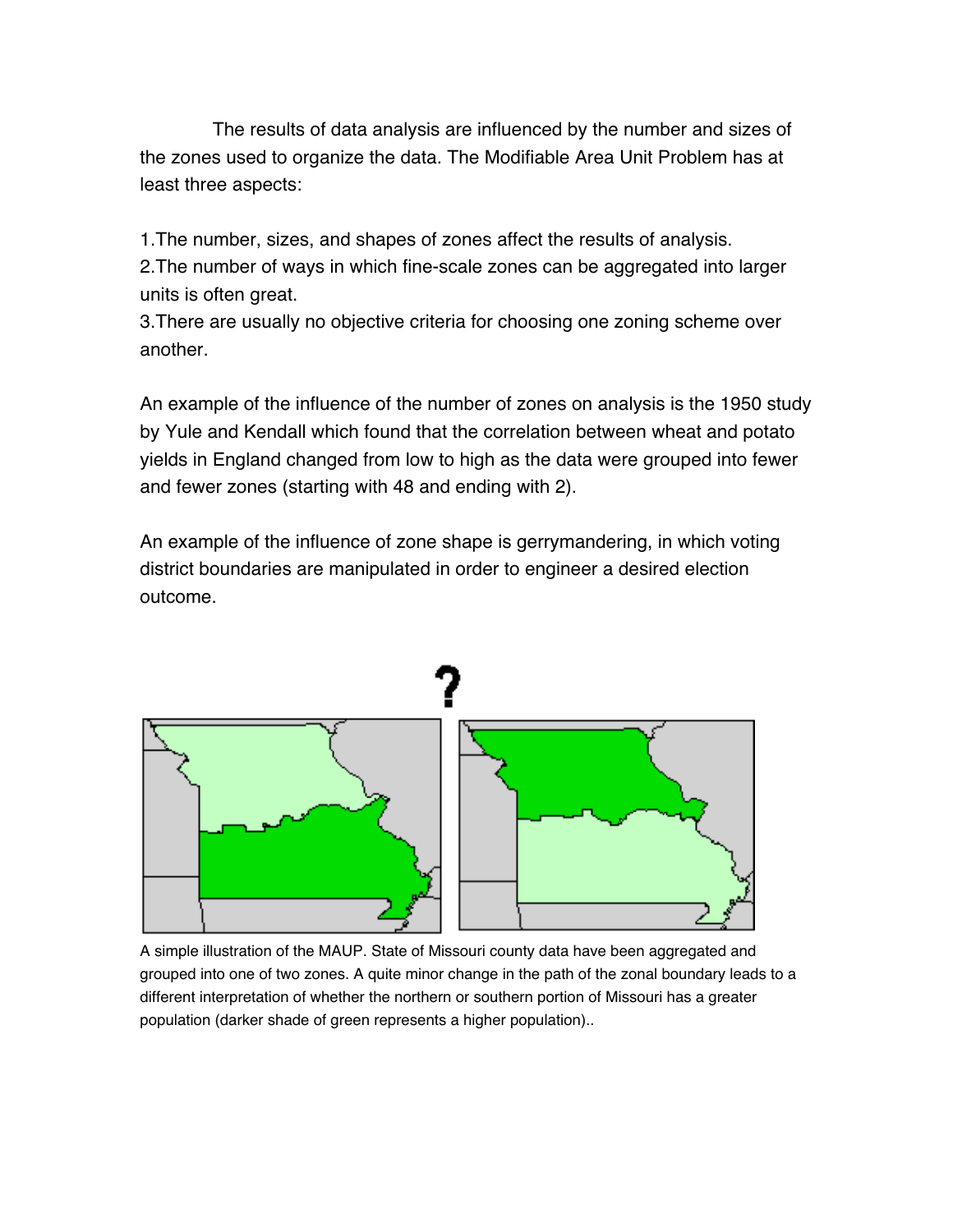The results of data analysis are influenced by the number and sizes of the zones used to organize the data. The Modifiable Area Unit Problem has at least three aspects:

1.The number, sizes, and shapes of zones affect the results of analysis. 2.The number of ways in which fine-scale zones can be aggregated into larger units is often great.

3.There are usually no objective criteria for choosing one zoning scheme over another.

An example of the influence of the number of zones on analysis is the 1950 study by Yule and Kendall which found that the correlation between wheat and potato yields in England changed from low to high as the data were grouped into fewer and fewer zones (starting with 48 and ending with 2).

An example of the influence of zone shape is gerrymandering, in which voting district boundaries are manipulated in order to engineer a desired election outcome.



A simple illustration of the MAUP. State of Missouri county data have been aggregated and grouped into one of two zones. A quite minor change in the path of the zonal boundary leads to a different interpretation of whether the northern or southern portion of Missouri has a greater population (darker shade of green represents a higher population)..